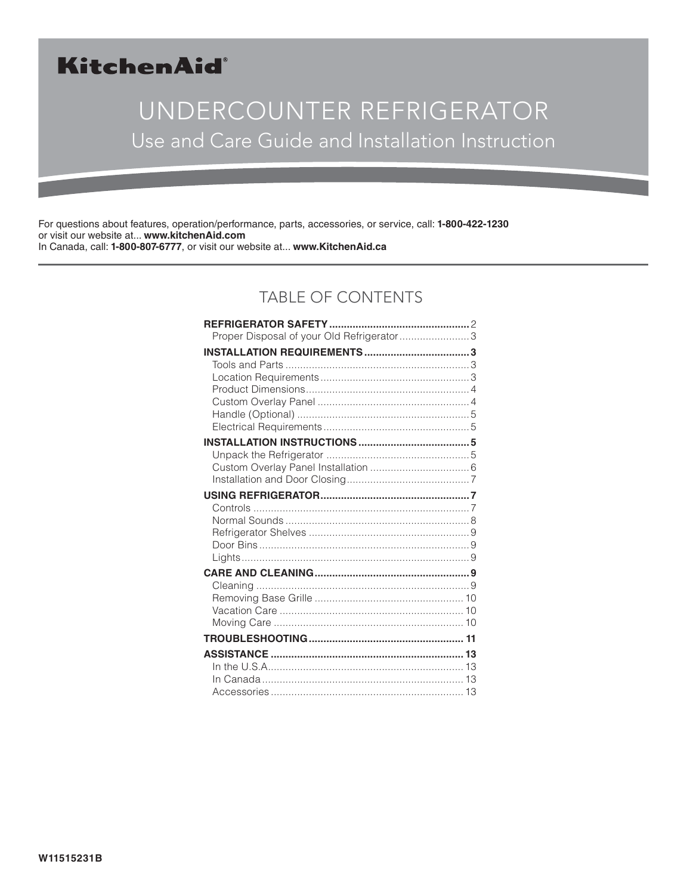## KitchenAid®

# UNDERCOUNTER REFRIGERATOR Use and Care Guide and Installation Instruction

For questions about features, operation/performance, parts, accessories, or service, call: **1-800-422-1230** or visit our website at... **www.kitchenAid.com** In Canada, call: **1-800-807-6777**, or visit our website at... **www.KitchenAid.ca**

## TABLE OF CONTENTS

| Proper Disposal of your Old Refrigerator3 |  |
|-------------------------------------------|--|
|                                           |  |
|                                           |  |
|                                           |  |
|                                           |  |
|                                           |  |
|                                           |  |
|                                           |  |
|                                           |  |
|                                           |  |
|                                           |  |
|                                           |  |
|                                           |  |
|                                           |  |
|                                           |  |
|                                           |  |
|                                           |  |
|                                           |  |
|                                           |  |
|                                           |  |
|                                           |  |
|                                           |  |
|                                           |  |
|                                           |  |
|                                           |  |
|                                           |  |
|                                           |  |
|                                           |  |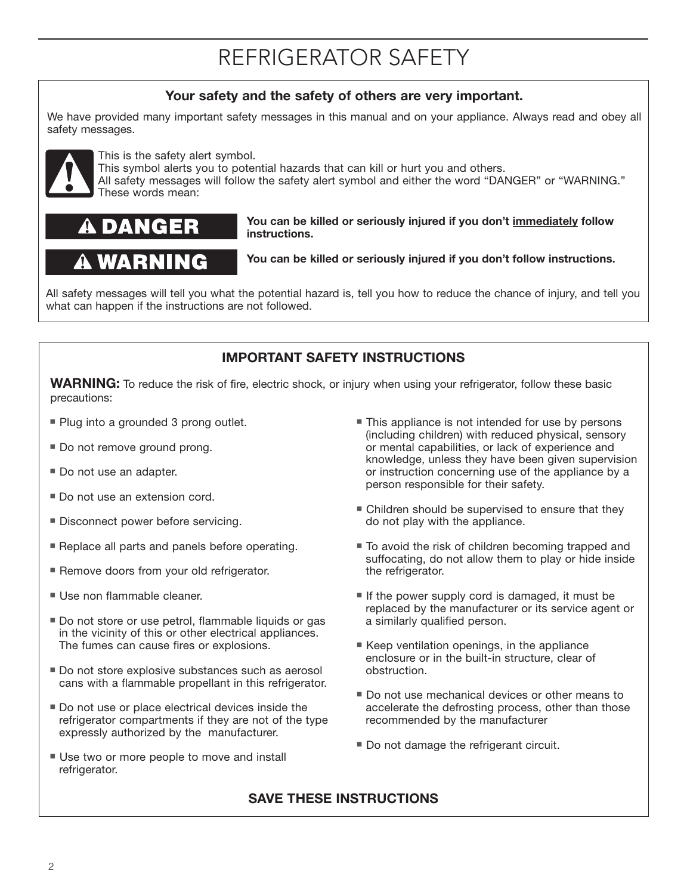# REFRIGERATOR SAFETY

### **Your safety and the safety of others are very important.**

We have provided many important safety messages in this manual and on your appliance. Always read and obey all safety messages.



This is the safety alert symbol.

This symbol alerts you to potential hazards that can kill or hurt you and others.

**instructions.**

All safety messages will follow the safety alert symbol and either the word "DANGER" or "WARNING." These words mean:

## DANGER

## **A WARNING**

**You can be killed or seriously injured if you don't follow instructions.**

**You can be killed or seriously injured if you don't immediately follow** 

All safety messages will tell you what the potential hazard is, tell you how to reduce the chance of injury, and tell you what can happen if the instructions are not followed.

### **IMPORTANT SAFETY INSTRUCTIONS**

**WARNING:** To reduce the risk of fire, electric shock, or injury when using your refrigerator, follow these basic precautions:

- **Plug into a grounded 3 prong outlet.**
- Do not remove ground prong.
- Do not use an adapter.
- Do not use an extension cord.
- **Disconnect power before servicing.**
- **B** Replace all parts and panels before operating.
- **Remove doors from your old refrigerator.**
- **Use non flammable cleaner.**
- Do not store or use petrol, flammable liquids or gas in the vicinity of this or other electrical appliances. The fumes can cause fires or explosions.
- Do not store explosive substances such as aerosol cans with a flammable propellant in this refrigerator.
- **Do not use or place electrical devices inside the** refrigerator compartments if they are not of the type expressly authorized by the manufacturer.
- Use two or more people to move and install refrigerator.
- This appliance is not intended for use by persons (including children) with reduced physical, sensory or mental capabilities, or lack of experience and knowledge, unless they have been given supervision or instruction concerning use of the appliance by a person responsible for their safety.
- Children should be supervised to ensure that they do not play with the appliance.
- To avoid the risk of children becoming trapped and suffocating, do not allow them to play or hide inside the refrigerator.
- If the power supply cord is damaged, it must be replaced by the manufacturer or its service agent or a similarly qualified person.
- Keep ventilation openings, in the appliance enclosure or in the built-in structure, clear of obstruction.
- Do not use mechanical devices or other means to accelerate the defrosting process, other than those recommended by the manufacturer
- **Do not damage the refrigerant circuit.**

### **SAVE THESE INSTRUCTIONS**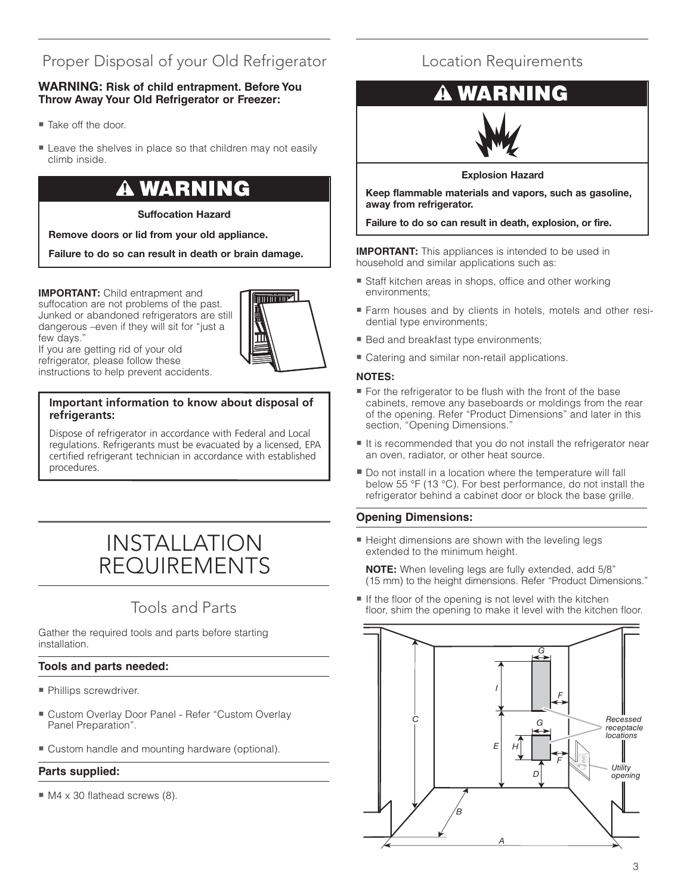## Proper Disposal of your Old Refrigerator

#### **WARNING: Risk of child entrapment. Before You Throw Away Your Old Refrigerator or Freezer:**

- Take off the door.
- **E** Leave the shelves in place so that children may not easily climb inside.

# **WARNING**

#### **Suffocation Hazard**

**Remove doors or lid from your old appliance.**

**Failure to do so can result in death or brain damage.**

**IMPORTANT:** Child entrapment and suffocation are not problems of the past. Junked or abandoned refrigerators are still dangerous –even if they will sit for "just a few days."



If you are getting rid of your old refrigerator, please follow these instructions to help prevent accidents.

#### **Important information to know about disposal of refrigerants:**

Dispose of refrigerator in accordance with Federal and Local regulations. Refrigerants must be evacuated by a licensed, EPA certified refrigerant technician in accordance with established procedures.

## INSTALLATION REQUIREMENTS

## Tools and Parts

Gather the required tools and parts before starting installation.

#### **Tools and parts needed:**

- · Phillips screwdriver.
- Custom Overlay Door Panel Refer "Custom Overlay Panel Preparation".
- Custom handle and mounting hardware (optional).

#### **Parts supplied:**

■ M4 x 30 flathead screws (8).

## Location Requirements

## **VING**



#### **Explosion Hazard**

**Keep flammable materials and vapors, such as gasoline, away from refrigerator.**

#### **Failure to do so can result in death, explosion, or fire.**

**IMPORTANT:** This appliances is intended to be used in household and similar applications such as:

- **Staff kitchen areas in shops, office and other working** environments;
- Farm houses and by clients in hotels, motels and other residential type environments;
- **Bed and breakfast type environments;**
- **E** Catering and similar non-retail applications.

#### **NOTES:**

- --------<br>■ For the refrigerator to be flush with the front of the base cabinets, remove any baseboards or moldings from the rear of the opening. Refer "Product Dimensions" and later in this section, "Opening Dimensions."
- It is recommended that you do not install the refrigerator near an oven, radiator, or other heat source.
- Do not install in a location where the temperature will fall below 55 °F (13 °C). For best performance, do not install the refrigerator behind a cabinet door or block the base grille.

#### **Opening Dimensions:**

**E** Height dimensions are shown with the leveling legs extended to the minimum height.

**NOTE:** When leveling legs are fully extended, add 5/8" (15 mm) to the height dimensions. Refer "Product Dimensions."

If the floor of the opening is not level with the kitchen floor, shim the opening to make it level with the kitchen floor.

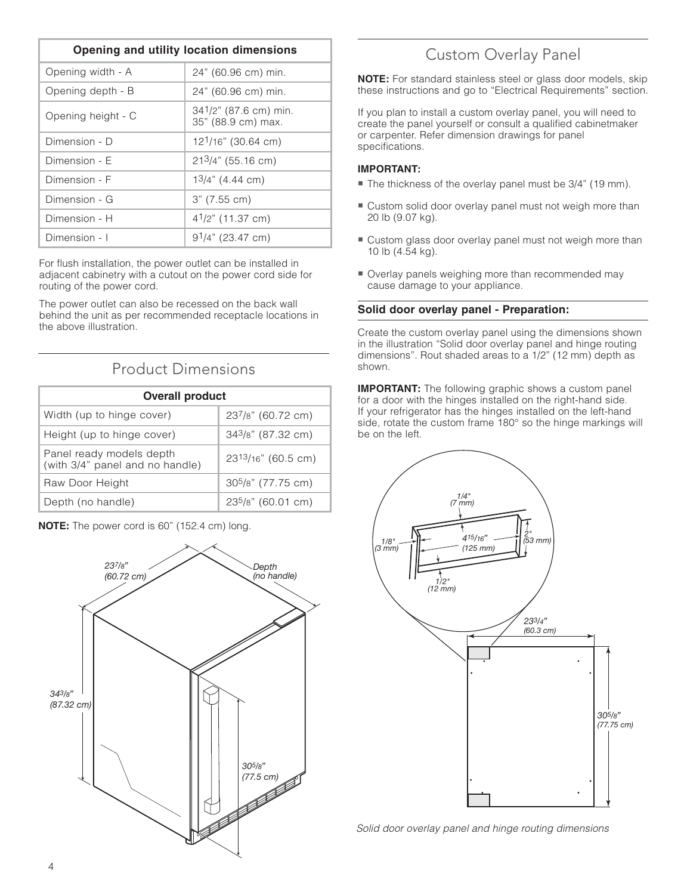| Opening and utility location dimensions |                                             |
|-----------------------------------------|---------------------------------------------|
| Opening width - A                       | 24" (60.96 cm) min.                         |
| Opening depth - B                       | 24" (60.96 cm) min.                         |
| Opening height - C                      | 341/2" (87.6 cm) min.<br>35" (88.9 cm) max. |
| Dimension - D                           | 12 <sup>1</sup> /16" (30.64 cm)             |
| Dimension - F                           | $213/4$ " (55.16 cm)                        |
| Dimension - F                           | $13/4$ " (4.44 cm)                          |
| Dimension - G                           | 3" (7.55 cm)                                |
| Dimension - H                           | $4^{1}/2$ " (11.37 cm)                      |
| Dimension - I                           | $91/4$ " (23.47 cm)                         |

For flush installation, the power outlet can be installed in adjacent cabinetry with a cutout on the power cord side for routing of the power cord.

The power outlet can also be recessed on the back wall behind the unit as per recommended receptacle locations in the above illustration.

### Product Dimensions

| <b>Overall product</b>                                      |                                |
|-------------------------------------------------------------|--------------------------------|
| Width (up to hinge cover)                                   | 237/8" (60.72 cm)              |
| Height (up to hinge cover)                                  | 343/8" (87.32 cm)              |
| Panel ready models depth<br>(with 3/4" panel and no handle) | $23^{13}/16"$ (60.5 cm)        |
| Raw Door Height                                             | 30 <sup>5</sup> /8" (77.75 cm) |
| Depth (no handle)                                           | 23 <sup>5</sup> /8" (60.01 cm) |



#### **NOTE:** The power cord is 60" (152.4 cm) long.

## Custom Overlay Panel

**NOTE:** For standard stainless steel or glass door models, skip these instructions and go to "Electrical Requirements" section.

If you plan to install a custom overlay panel, you will need to create the panel yourself or consult a qualified cabinetmaker or carpenter. Refer dimension drawings for panel specifications.

#### **IMPORTANT:**

- ··················<br>■ The thickness of the overlay panel must be 3/4" (19 mm).
- Custom solid door overlay panel must not weigh more than 20 lb (9.07 kg).
- Custom glass door overlay panel must not weigh more than 10 lb (4.54 kg).
- Overlay panels weighing more than recommended may cause damage to your appliance.

#### **Solid door overlay panel - Preparation:**

Create the custom overlay panel using the dimensions shown in the illustration "Solid door overlay panel and hinge routing dimensions". Rout shaded areas to a 1/2" (12 mm) depth as shown.

**IMPORTANT:** The following graphic shows a custom panel for a door with the hinges installed on the right-hand side. If your refrigerator has the hinges installed on the left-hand side, rotate the custom frame 180° so the hinge markings will be on the left.



Solid door overlay panel and hinge routing dimensions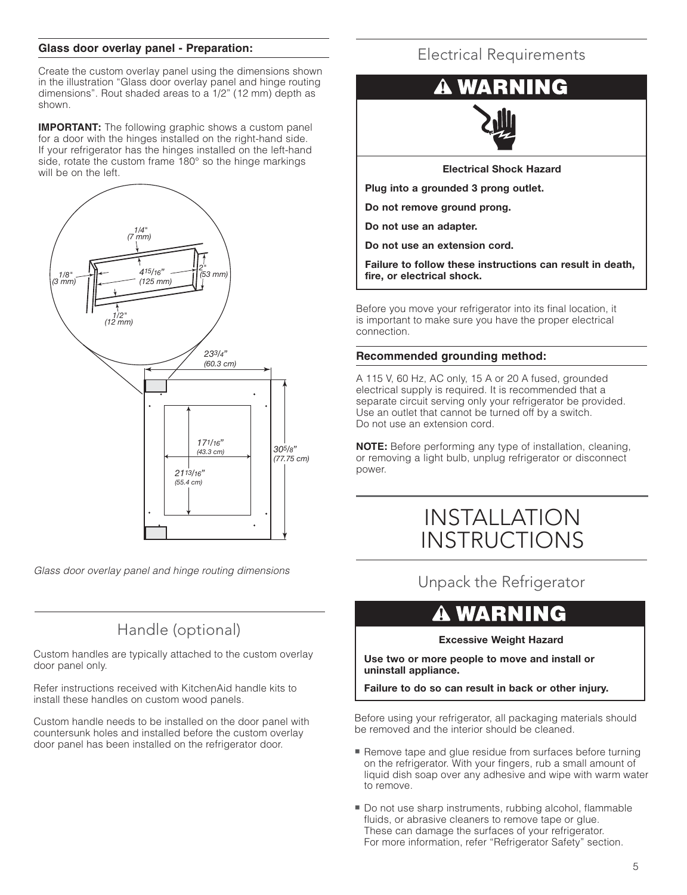#### **Glass door overlay panel - Preparation:**

Create the custom overlay panel using the dimensions shown in the illustration "Glass door overlay panel and hinge routing dimensions". Rout shaded areas to a 1/2" (12 mm) depth as shown.

**IMPORTANT:** The following graphic shows a custom panel for a door with the hinges installed on the right-hand side. If your refrigerator has the hinges installed on the left-hand side, rotate the custom frame 180° so the hinge markings will be on the left.



Glass door overlay panel and hinge routing dimensions

## Handle (optional)

Custom handles are typically attached to the custom overlay door panel only.

Refer instructions received with KitchenAid handle kits to install these handles on custom wood panels.

Custom handle needs to be installed on the door panel with countersunk holes and installed before the custom overlay door panel has been installed on the refrigerator door.

### Electrical Requirements

# IING

**Electrical Shock Hazard**

**Plug into a grounded 3 prong outlet.**

**Do not remove ground prong.**

**Do not use an adapter.**

**Do not use an extension cord.**

**Failure to follow these instructions can result in death, fire, or electrical shock.**

Before you move your refrigerator into its final location, it is important to make sure you have the proper electrical connection.

#### **Recommended grounding method:**

A 115 V, 60 Hz, AC only, 15 A or 20 A fused, grounded electrical supply is required. It is recommended that a separate circuit serving only your refrigerator be provided. Use an outlet that cannot be turned off by a switch. Do not use an extension cord.

**NOTE:** Before performing any type of installation, cleaning, or removing a light bulb, unplug refrigerator or disconnect power.

## INSTALLATION INSTRUCTIONS

Unpack the Refrigerator

#### WARN NG

#### **Excessive Weight Hazard**

**Use two or more people to move and install or uninstall appliance.**

**Failure to do so can result in back or other injury.**

Before using your refrigerator, all packaging materials should be removed and the interior should be cleaned.

- **Remove tape and glue residue from surfaces before turning** on the refrigerator. With your fingers, rub a small amount of liquid dish soap over any adhesive and wipe with warm water to remove.
- Do not use sharp instruments, rubbing alcohol, flammable fluids, or abrasive cleaners to remove tape or glue. These can damage the surfaces of your refrigerator. For more information, refer "Refrigerator Safety" section.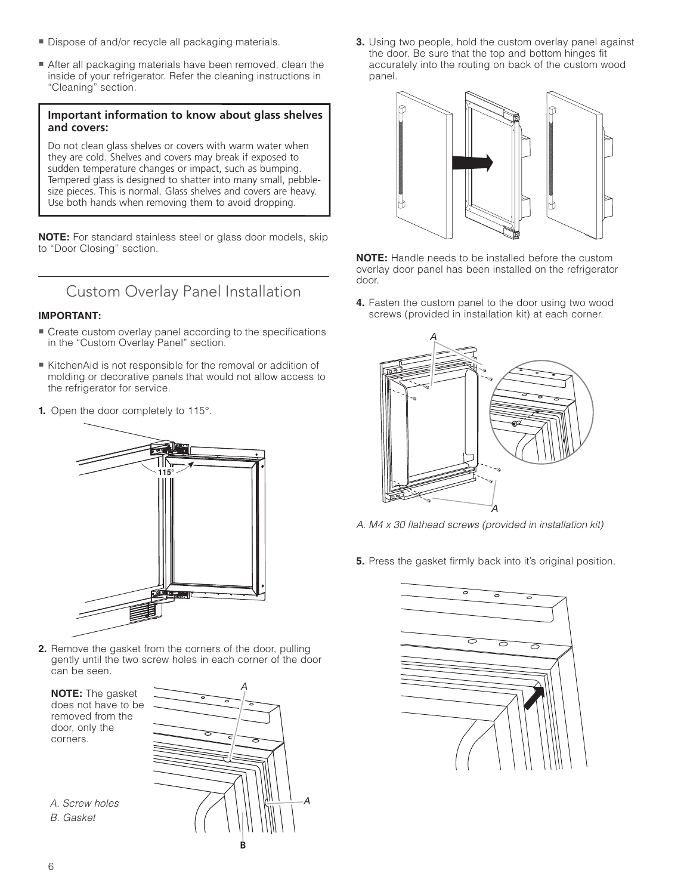- **Dispose of and/or recycle all packaging materials.**
- After all packaging materials have been removed, clean the inside of your refrigerator. Refer the cleaning instructions in "Cleaning" section.

#### **Important information to know about glass shelves and covers:**

Do not clean glass shelves or covers with warm water when they are cold. Shelves and covers may break if exposed to sudden temperature changes or impact, such as bumping. Tempered glass is designed to shatter into many small, pebblesize pieces. This is normal. Glass shelves and covers are heavy. Use both hands when removing them to avoid dropping.

**NOTE:** For standard stainless steel or glass door models, skip to "Door Closing" section.

## Custom Overlay Panel Installation

#### **IMPORTANT:**

- **E** Create custom overlay panel according to the specifications in the "Custom Overlay Panel" section.
- KitchenAid is not responsible for the removal or addition of molding or decorative panels that would not allow access to the refrigerator for service.
- **1.** Open the door completely to 115°.



**2.** Remove the gasket from the corners of the door, pulling gently until the two screw holes in each corner of the door can be seen.

 **NOTE:** The gasket does not have to be removed from the door, only the corners.



**3.** Using two people, hold the custom overlay panel against the door. Be sure that the top and bottom hinges fit accurately into the routing on back of the custom wood panel.



**NOTE:** Handle needs to be installed before the custom overlay door panel has been installed on the refrigerator door.

**4.** Fasten the custom panel to the door using two wood screws (provided in installation kit) at each corner.



- A. M4 x 30 flathead screws (provided in installation kit)
- **5.** Press the gasket firmly back into it's original position.



A. Screw holes

B. Gasket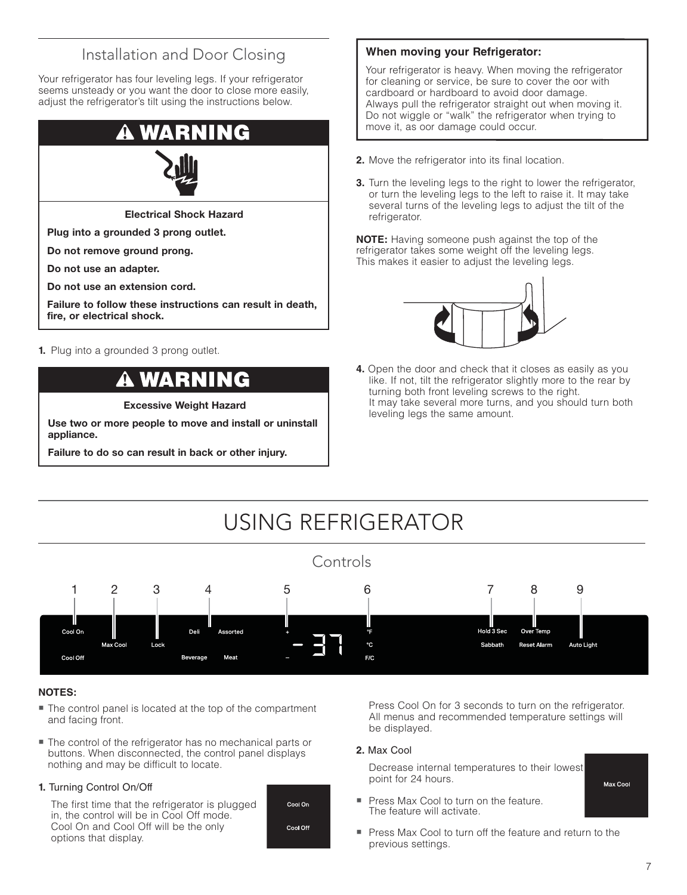## Installation and Door Closing

Your refrigerator has four leveling legs. If your refrigerator seems unsteady or you want the door to close more easily, adjust the refrigerator's tilt using the instructions below.



**Electrical Shock Hazard**

**Plug into a grounded 3 prong outlet.**

**Do not remove ground prong.**

**Do not use an adapter.**

**Do not use an extension cord.**

**Failure to follow these instructions can result in death, fire, or electrical shock.**

**1.** Plug into a grounded 3 prong outlet.

#### WARNI Ē

**Excessive Weight Hazard**

**Use two or more people to move and install or uninstall appliance.**

**Failure to do so can result in back or other injury.**

#### **When moving your Refrigerator:**

Your refrigerator is heavy. When moving the refrigerator for cleaning or service, be sure to cover the oor with cardboard or hardboard to avoid door damage. Always pull the refrigerator straight out when moving it. Do not wiggle or "walk" the refrigerator when trying to move it, as oor damage could occur.

- **2.** Move the refrigerator into its final location.
- **3.** Turn the leveling legs to the right to lower the refrigerator, or turn the leveling legs to the left to raise it. It may take several turns of the leveling legs to adjust the tilt of the refrigerator.

**NOTE:** Having someone push against the top of the refrigerator takes some weight off the leveling legs. This makes it easier to adjust the leveling legs.



**4.** Open the door and check that it closes as easily as you like. If not, tilt the refrigerator slightly more to the rear by turning both front leveling screws to the right. It may take several more turns, and you should turn both leveling legs the same amount.



#### **NOTES:**

- The control panel is located at the top of the compartment and facing front.
- The control of the refrigerator has no mechanical parts or buttons. When disconnected, the control panel displays nothing and may be difficult to locate.

#### **1.** Turning Control On/Off

 The first time that the refrigerator is plugged in, the control will be in Cool Off mode. Cool On and Cool Off will be the only options that display.



 Press Cool On for 3 seconds to turn on the refrigerator. All menus and recommended temperature settings will be displayed.

#### **2.** Max Cool

 Decrease internal temperatures to their lowest point for 24 hours.

- Press Max Cool to turn on the feature. The feature will activate.

Max Cool

**Press Max Cool to turn off the feature and return to the** previous settings.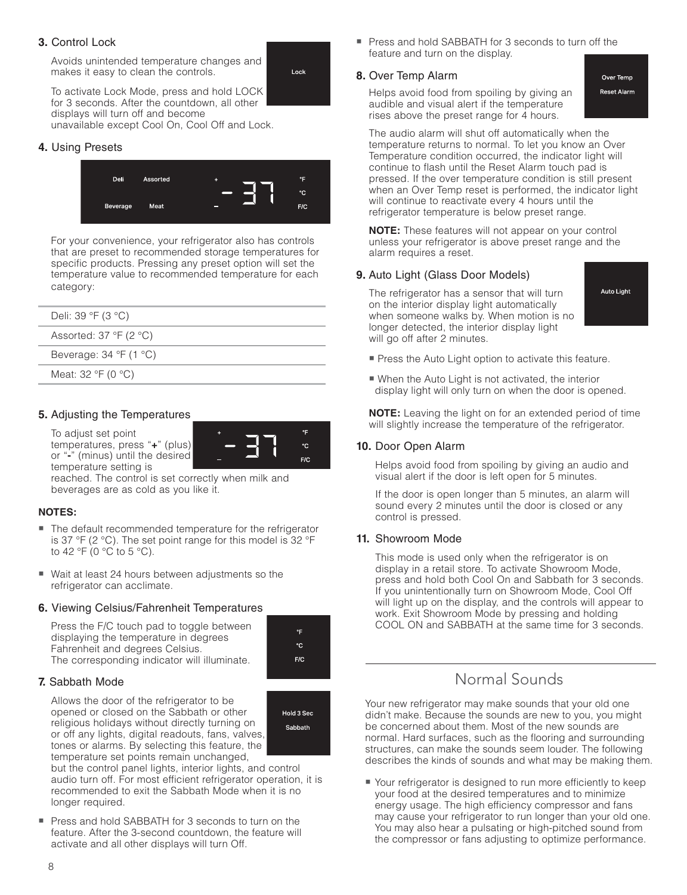#### **3.** Control Lock

 Avoids unintended temperature changes and makes it easy to clean the controls.



 To activate Lock Mode, press and hold LOCK for 3 seconds. After the countdown, all other displays will turn off and become unavailable except Cool On, Cool Off and Lock.

#### **4.** Using Presets



For your convenience, your refrigerator also has controls that are preset to recommended storage temperatures for specific products. Pressing any preset option will set the temperature value to recommended temperature for each category:

| Deli: $39 \text{ }^{\circ}F$ (3 $^{\circ}C$ )     |
|---------------------------------------------------|
| Assorted: $37 \text{ }^{\circ}F$ (2 $^{\circ}C$ ) |
| Beverage: $34 \text{ }^{\circ}F$ (1 $^{\circ}C$ ) |
| Meat: $32 \text{ }^{\circ}F$ (0 $^{\circ}C$ )     |
|                                                   |

#### **5.** Adjusting the Temperatures

 To adjust set point temperatures, press "**+**" (plus) or "**-**" (minus) until the desired temperature setting is



#### **NOTES:**

- The default recommended temperature for the refrigerator is 37 °F (2 °C). The set point range for this model is 32 °F to 42 °F (0 °C to 5 °C).
- Wait at least 24 hours between adjustments so the refrigerator can acclimate.

#### **6.** Viewing Celsius/Fahrenheit Temperatures

 Press the F/C touch pad to toggle between displaying the temperature in degrees Fahrenheit and degrees Celsius. The corresponding indicator will illuminate.



 $^{\circ}$ E °C  $F/C$ 

#### **7.** Sabbath Mode

 Allows the door of the refrigerator to be opened or closed on the Sabbath or other religious holidays without directly turning on or off any lights, digital readouts, fans, valves, tones or alarms. By selecting this feature, the temperature set points remain unchanged,



but the control panel lights, interior lights, and control audio turn off. For most efficient refrigerator operation, it is recommended to exit the Sabbath Mode when it is no longer required.

- Press and hold SABBATH for 3 seconds to turn on the feature. After the 3-second countdown, the feature will activate and all other displays will turn Off.

- Press and hold SABBATH for 3 seconds to turn off the feature and turn on the display.

#### **8.** Over Temp Alarm

 Helps avoid food from spoiling by giving an audible and visual alert if the temperature rises above the preset range for 4 hours.

Over Temp **Reset Alarm** 

 The audio alarm will shut off automatically when the temperature returns to normal. To let you know an Over Temperature condition occurred, the indicator light will continue to flash until the Reset Alarm touch pad is pressed. If the over temperature condition is still present when an Over Temp reset is performed, the indicator light will continue to reactivate every 4 hours until the refrigerator temperature is below preset range.

**NOTE:** These features will not appear on your control unless your refrigerator is above preset range and the alarm requires a reset.

#### **9.** Auto Light (Glass Door Models)

 The refrigerator has a sensor that will turn on the interior display light automatically when someone walks by. When motion is no longer detected, the interior display light will go off after 2 minutes.

**Auto Light** 

- **Press the Auto Light option to activate this feature.**
- When the Auto Light is not activated, the interior display light will only turn on when the door is opened.

 **NOTE:** Leaving the light on for an extended period of time will slightly increase the temperature of the refrigerator.

#### **10.** Door Open Alarm

 Helps avoid food from spoiling by giving an audio and visual alert if the door is left open for 5 minutes.

 If the door is open longer than 5 minutes, an alarm will sound every 2 minutes until the door is closed or any control is pressed.

#### **11.** Showroom Mode

 This mode is used only when the refrigerator is on display in a retail store. To activate Showroom Mode, press and hold both Cool On and Sabbath for 3 seconds. If you unintentionally turn on Showroom Mode, Cool Off will light up on the display, and the controls will appear to work. Exit Showroom Mode by pressing and holding COOL ON and SABBATH at the same time for 3 seconds.

### Normal Sounds

Your new refrigerator may make sounds that your old one didn't make. Because the sounds are new to you, you might be concerned about them. Most of the new sounds are normal. Hard surfaces, such as the flooring and surrounding structures, can make the sounds seem louder. The following describes the kinds of sounds and what may be making them.

■ Your refrigerator is designed to run more efficiently to keep your food at the desired temperatures and to minimize energy usage. The high efficiency compressor and fans may cause your refrigerator to run longer than your old one. You may also hear a pulsating or high-pitched sound from the compressor or fans adjusting to optimize performance.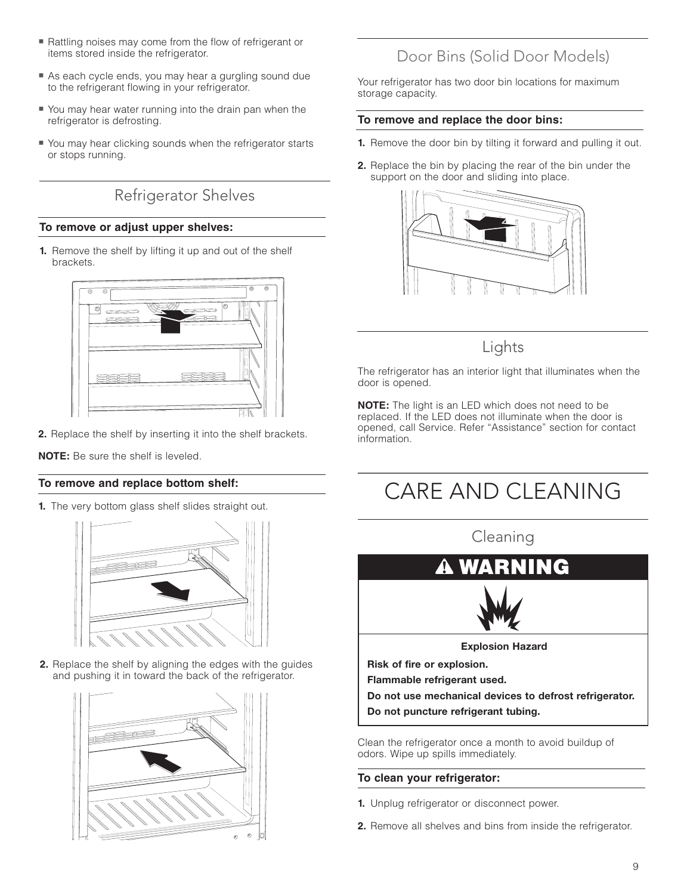- num Rattling noises may come from the flow of refrigerant or items stored inside the refrigerator.
- **As each cycle ends, you may hear a gurgling sound due** to the refrigerant flowing in your refrigerator.
- You may hear water running into the drain pan when the refrigerator is defrosting.
- You may hear clicking sounds when the refrigerator starts or stops running.

Refrigerator Shelves

#### **To remove or adjust upper shelves:**

**1.** Remove the shelf by lifting it up and out of the shelf brackets.



**2.** Replace the shelf by inserting it into the shelf brackets.

**NOTE:** Be sure the shelf is leveled.

#### **To remove and replace bottom shelf:**

**1.** The very bottom glass shelf slides straight out.



**2.** Replace the shelf by aligning the edges with the guides and pushing it in toward the back of the refrigerator.



## Door Bins (Solid Door Models)

Your refrigerator has two door bin locations for maximum storage capacity.

#### **To remove and replace the door bins:**

- **1.** Remove the door bin by tilting it forward and pulling it out.
- **2.** Replace the bin by placing the rear of the bin under the support on the door and sliding into place.



### Lights

The refrigerator has an interior light that illuminates when the door is opened.

**NOTE:** The light is an LED which does not need to be replaced. If the LED does not illuminate when the door is opened, call Service. Refer "Assistance" section for contact information.

# CARE AND CLEANING

Cleaning



Clean the refrigerator once a month to avoid buildup of odors. Wipe up spills immediately.

#### **To clean your refrigerator:**

- **1.** Unplug refrigerator or disconnect power.
- **2.** Remove all shelves and bins from inside the refrigerator.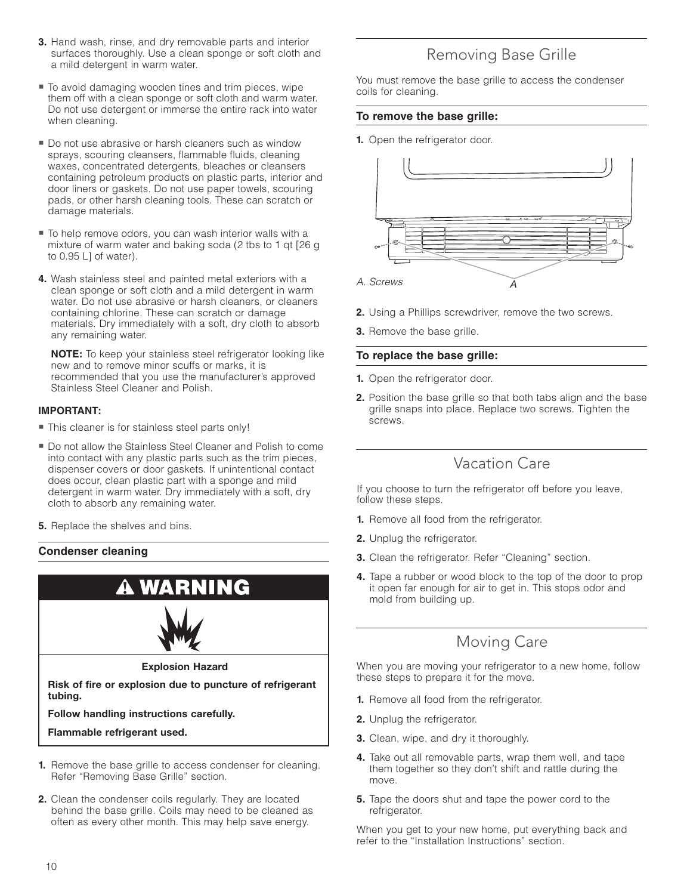- **3.** Hand wash, rinse, and dry removable parts and interior surfaces thoroughly. Use a clean sponge or soft cloth and a mild detergent in warm water.
- To avoid damaging wooden tines and trim pieces, wipe them off with a clean sponge or soft cloth and warm water. Do not use detergent or immerse the entire rack into water when cleaning.
- Do not use abrasive or harsh cleaners such as window sprays, scouring cleansers, flammable fluids, cleaning waxes, concentrated detergents, bleaches or cleansers containing petroleum products on plastic parts, interior and door liners or gaskets. Do not use paper towels, scouring pads, or other harsh cleaning tools. These can scratch or damage materials.
- To help remove odors, you can wash interior walls with a mixture of warm water and baking soda (2 tbs to 1 qt [26 g to 0.95 L] of water).
- **4.** Wash stainless steel and painted metal exteriors with a clean sponge or soft cloth and a mild detergent in warm water. Do not use abrasive or harsh cleaners, or cleaners containing chlorine. These can scratch or damage materials. Dry immediately with a soft, dry cloth to absorb any remaining water.

 **NOTE:** To keep your stainless steel refrigerator looking like new and to remove minor scuffs or marks, it is recommended that you use the manufacturer's approved Stainless Steel Cleaner and Polish.

#### **IMPORTANT:**

- This cleaner is for stainless steel parts only!
- Do not allow the Stainless Steel Cleaner and Polish to come into contact with any plastic parts such as the trim pieces, dispenser covers or door gaskets. If unintentional contact does occur, clean plastic part with a sponge and mild detergent in warm water. Dry immediately with a soft, dry cloth to absorb any remaining water.
- **5.** Replace the shelves and bins.

#### **Condenser cleaning**



- **1.** Remove the base grille to access condenser for cleaning. Refer "Removing Base Grille" section.
- **2.** Clean the condenser coils regularly. They are located behind the base grille. Coils may need to be cleaned as often as every other month. This may help save energy.

## Removing Base Grille

You must remove the base grille to access the condenser coils for cleaning.

#### **To remove the base grille:**

**1.** Open the refrigerator door.



- **2.** Using a Phillips screwdriver, remove the two screws.
- **3.** Remove the base grille.

#### **To replace the base grille:**

- **1.** Open the refrigerator door.
- **2.** Position the base grille so that both tabs align and the base grille snaps into place. Replace two screws. Tighten the screws.

## Vacation Care

If you choose to turn the refrigerator off before you leave, follow these steps.

- **1.** Remove all food from the refrigerator.
- **2.** Unplug the refrigerator.
- **3.** Clean the refrigerator. Refer "Cleaning" section.
- **4.** Tape a rubber or wood block to the top of the door to prop it open far enough for air to get in. This stops odor and mold from building up.

## Moving Care

When you are moving your refrigerator to a new home, follow these steps to prepare it for the move.

- **1.** Remove all food from the refrigerator.
- **2.** Unplug the refrigerator.
- **3.** Clean, wipe, and dry it thoroughly.
- **4.** Take out all removable parts, wrap them well, and tape them together so they don't shift and rattle during the move.
- **5.** Tape the doors shut and tape the power cord to the refrigerator.

When you get to your new home, put everything back and refer to the "Installation Instructions" section.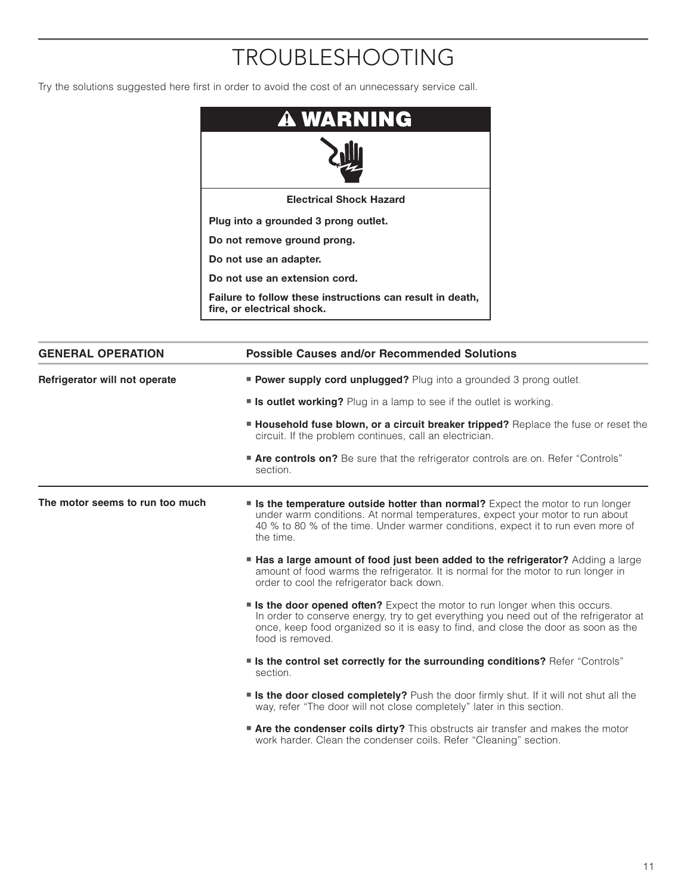# TROUBLESHOOTING

Try the solutions suggested here first in order to avoid the cost of an unnecessary service call.



| <b>GENERAL OPERATION</b>        | <b>Possible Causes and/or Recommended Solutions</b>                                                                                                                                                                                                                                   |
|---------------------------------|---------------------------------------------------------------------------------------------------------------------------------------------------------------------------------------------------------------------------------------------------------------------------------------|
| Refrigerator will not operate   | <b>Power supply cord unplugged?</b> Plug into a grounded 3 prong outlet.                                                                                                                                                                                                              |
|                                 | <b>Is outlet working?</b> Plug in a lamp to see if the outlet is working.                                                                                                                                                                                                             |
|                                 | <b>Household fuse blown, or a circuit breaker tripped?</b> Replace the fuse or reset the<br>circuit. If the problem continues, call an electrician.                                                                                                                                   |
|                                 | <b>Are controls on?</b> Be sure that the refrigerator controls are on. Refer "Controls"<br>section.                                                                                                                                                                                   |
| The motor seems to run too much | <b>s Is the temperature outside hotter than normal?</b> Expect the motor to run longer<br>under warm conditions. At normal temperatures, expect your motor to run about<br>40 % to 80 % of the time. Under warmer conditions, expect it to run even more of<br>the time.              |
|                                 | <b>Has a large amount of food just been added to the refrigerator?</b> Adding a large<br>amount of food warms the refrigerator. It is normal for the motor to run longer in<br>order to cool the refrigerator back down.                                                              |
|                                 | <b>Is the door opened often?</b> Expect the motor to run longer when this occurs.<br>In order to conserve energy, try to get everything you need out of the refrigerator at<br>once, keep food organized so it is easy to find, and close the door as soon as the<br>food is removed. |
|                                 | " Is the control set correctly for the surrounding conditions? Refer "Controls"<br>section.                                                                                                                                                                                           |
|                                 | <b>Is the door closed completely?</b> Push the door firmly shut. If it will not shut all the<br>way, refer "The door will not close completely" later in this section.                                                                                                                |
|                                 | <b>Are the condenser coils dirty?</b> This obstructs air transfer and makes the motor<br>work harder. Clean the condenser coils. Refer "Cleaning" section.                                                                                                                            |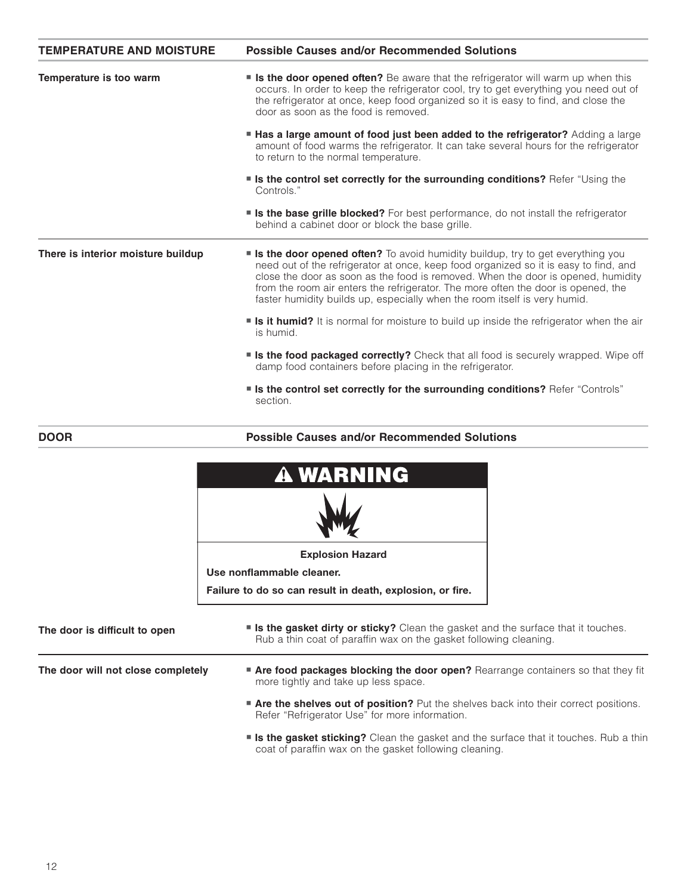| <b>TEMPERATURE AND MOISTURE</b>    | <b>Possible Causes and/or Recommended Solutions</b>                                                                                                                                                                                                                                                                                                                                                                                   |
|------------------------------------|---------------------------------------------------------------------------------------------------------------------------------------------------------------------------------------------------------------------------------------------------------------------------------------------------------------------------------------------------------------------------------------------------------------------------------------|
| Temperature is too warm            | <b>Some Is the door opened often?</b> Be aware that the refrigerator will warm up when this<br>occurs. In order to keep the refrigerator cool, try to get everything you need out of<br>the refrigerator at once, keep food organized so it is easy to find, and close the<br>door as soon as the food is removed.                                                                                                                    |
|                                    | <b>Has a large amount of food just been added to the refrigerator?</b> Adding a large<br>amount of food warms the refrigerator. It can take several hours for the refrigerator<br>to return to the normal temperature.                                                                                                                                                                                                                |
|                                    | <b>Solution I is the control set correctly for the surrounding conditions?</b> Refer "Using the<br>Controls."                                                                                                                                                                                                                                                                                                                         |
|                                    | <b>Solution I is the base grille blocked?</b> For best performance, do not install the refrigerator<br>behind a cabinet door or block the base grille.                                                                                                                                                                                                                                                                                |
| There is interior moisture buildup | <b>s Is the door opened often?</b> To avoid humidity buildup, try to get everything you<br>need out of the refrigerator at once, keep food organized so it is easy to find, and<br>close the door as soon as the food is removed. When the door is opened, humidity<br>from the room air enters the refrigerator. The more often the door is opened, the<br>faster humidity builds up, especially when the room itself is very humid. |
|                                    | <b>s</b> it humid? It is normal for moisture to build up inside the refrigerator when the air<br>is humid.                                                                                                                                                                                                                                                                                                                            |
|                                    | <b>Is the food packaged correctly?</b> Check that all food is securely wrapped. Wipe off<br>damp food containers before placing in the refrigerator.                                                                                                                                                                                                                                                                                  |
|                                    | <b>Solution 1 Is the control set correctly for the surrounding conditions?</b> Refer "Controls"<br>section.                                                                                                                                                                                                                                                                                                                           |

#### **DOOR**

**Possible Causes and/or Recommended Solutions**

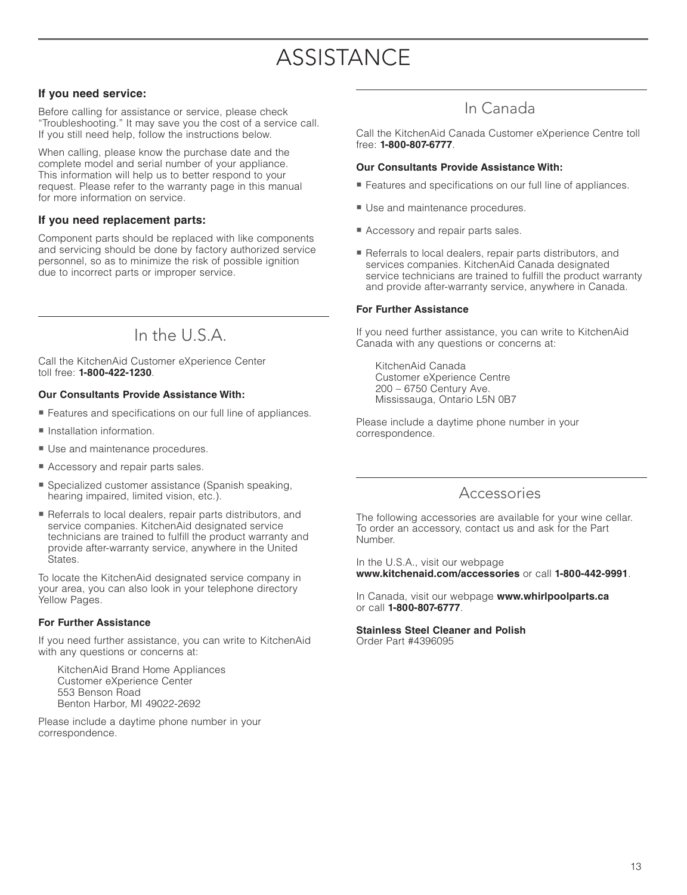# **ASSISTANCE**

#### **If you need service:**

Before calling for assistance or service, please check "Troubleshooting." It may save you the cost of a service call. If you still need help, follow the instructions below.

When calling, please know the purchase date and the complete model and serial number of your appliance. This information will help us to better respond to your request. Please refer to the warranty page in this manual for more information on service.

#### **If you need replacement parts:**

Component parts should be replaced with like components and servicing should be done by factory authorized service personnel, so as to minimize the risk of possible ignition due to incorrect parts or improper service.

## In the  $\cup$   $\subset$   $\triangle$

Call the KitchenAid Customer eXperience Center toll free: **1-800-422-1230**.

#### **Our Consultants Provide Assistance With:**

- Features and specifications on our full line of appliances.
- **Installation information.**
- **Use and maintenance procedures.**
- **Accessory and repair parts sales.**
- Specialized customer assistance (Spanish speaking, hearing impaired, limited vision, etc.).
- Referrals to local dealers, repair parts distributors, and service companies. KitchenAid designated service technicians are trained to fulfill the product warranty and provide after-warranty service, anywhere in the United States.

To locate the KitchenAid designated service company in your area, you can also look in your telephone directory Yellow Pages.

#### **For Further Assistance**

If you need further assistance, you can write to KitchenAid with any questions or concerns at:

 KitchenAid Brand Home Appliances Customer eXperience Center 553 Benson Road Benton Harbor, MI 49022-2692

Please include a daytime phone number in your correspondence.

### In Canada

Call the KitchenAid Canada Customer eXperience Centre toll free: **1-800-807-6777**.

#### **Our Consultants Provide Assistance With:**

- **Features and specifications on our full line of appliances.**
- **Use and maintenance procedures.**
- **Accessory and repair parts sales.**
- Referrals to local dealers, repair parts distributors, and services companies. KitchenAid Canada designated service technicians are trained to fulfill the product warranty and provide after-warranty service, anywhere in Canada.

#### **For Further Assistance**

If you need further assistance, you can write to KitchenAid Canada with any questions or concerns at:

 KitchenAid Canada Customer eXperience Centre 200 – 6750 Century Ave. Mississauga, Ontario L5N 0B7

Please include a daytime phone number in your correspondence.

### Accessories

The following accessories are available for your wine cellar. To order an accessory, contact us and ask for the Part Number.

In the U.S.A., visit our webpage **www.kitchenaid.com/accessories** or call **1-800-442-9991**.

In Canada, visit our webpage **www.whirlpoolparts.ca** or call **1-800-807-6777**.

### **Stainless Steel Cleaner and Polish**

Order Part #4396095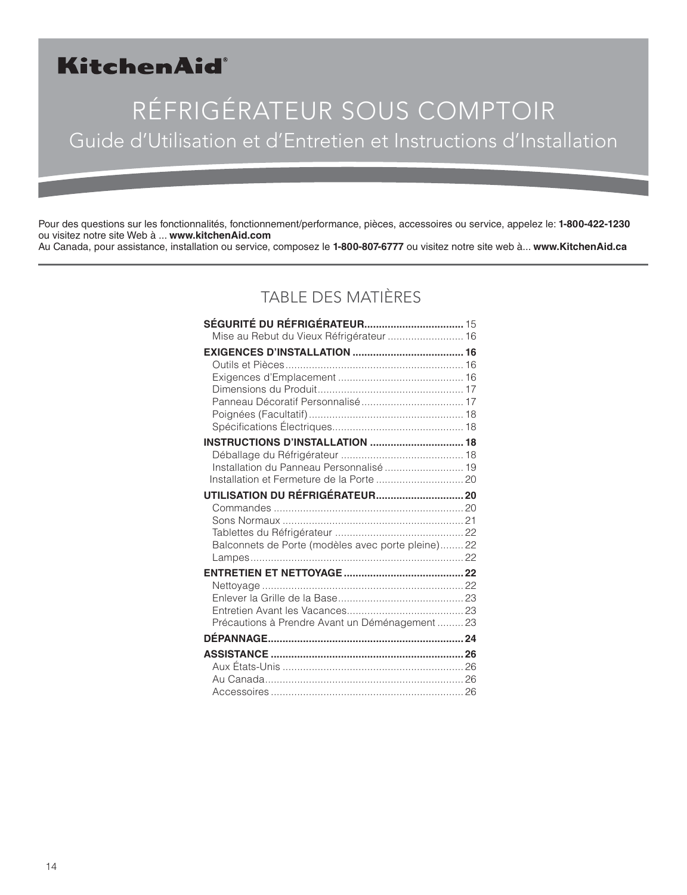## KitchenAid®

# RÉFRIGÉRATEUR SOUS COMPTOIR Guide d'Utilisation et d'Entretien et Instructions d'Installation

Pour des questions sur les fonctionnalités, fonctionnement/performance, pièces, accessoires ou service, appelez le: **1-800-422-1230** ou visitez notre site Web à ... **www.kitchenAid.com** Au Canada, pour assistance, installation ou service, composez le **1-800-807-6777** ou visitez notre site web à... **www.KitchenAid.ca**

## TABLE DES MATIÈRES

| Mise au Rebut du Vieux Réfrigérateur  16          |  |
|---------------------------------------------------|--|
|                                                   |  |
|                                                   |  |
|                                                   |  |
|                                                   |  |
|                                                   |  |
|                                                   |  |
| <b>INSTRUCTIONS D'INSTALLATION  18</b>            |  |
|                                                   |  |
| Installation du Panneau Personnalisé  19          |  |
|                                                   |  |
|                                                   |  |
|                                                   |  |
|                                                   |  |
|                                                   |  |
| Balconnets de Porte (modèles avec porte pleine)22 |  |
|                                                   |  |
|                                                   |  |
|                                                   |  |
|                                                   |  |
| Précautions à Prendre Avant un Déménagement  23   |  |
|                                                   |  |
|                                                   |  |
|                                                   |  |
|                                                   |  |
|                                                   |  |
|                                                   |  |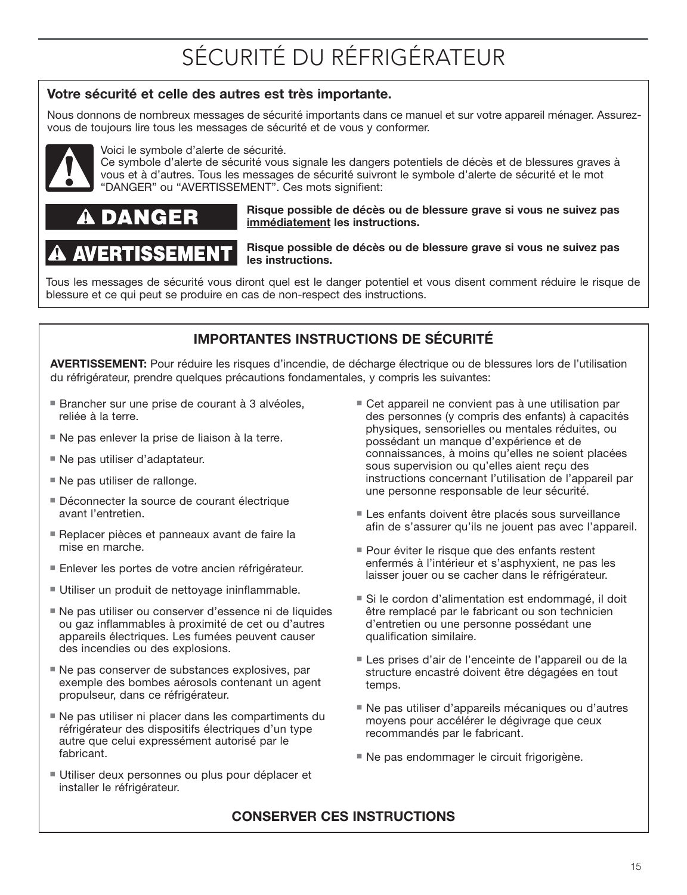### **Votre sécurité et celle des autres est très importante.**

Nous donnons de nombreux messages de sécurité importants dans ce manuel et sur votre appareil ménager. Assurezvous de toujours lire tous les messages de sécurité et de vous y conformer.



Voici le symbole d'alerte de sécurité.

Ce symbole d'alerte de sécurité vous signale les dangers potentiels de décès et de blessures graves à vous et à d'autres. Tous les messages de sécurité suivront le symbole d'alerte de sécurité et le mot "DANGER" ou "AVERTISSEMENT". Ces mots signifient:

#### **Risque possible de décès ou de blessure grave si vous ne suivez pas immédiatement les instructions.**

# SEM

**Risque possible de décès ou de blessure grave si vous ne suivez pas les instructions.**

Tous les messages de sécurité vous diront quel est le danger potentiel et vous disent comment réduire le risque de blessure et ce qui peut se produire en cas de non-respect des instructions.

### **IMPORTANTES INSTRUCTIONS DE SÉCURITÉ**

**AVERTISSEMENT:** Pour réduire les risques d'incendie, de décharge électrique ou de blessures lors de l'utilisation du réfrigérateur, prendre quelques précautions fondamentales, y compris les suivantes:

- Brancher sur une prise de courant à 3 alvéoles, reliée à la terre.
- Ne pas enlever la prise de liaison à la terre.
- Ne pas utiliser d'adaptateur.
- **Ne pas utiliser de rallonge.**
- Déconnecter la source de courant électrique avant l'entretien.
- Replacer pièces et panneaux avant de faire la mise en marche.
- Enlever les portes de votre ancien réfrigérateur.
- **Utiliser un produit de nettoyage ininflammable.**
- Ne pas utiliser ou conserver d'essence ni de liquides ou gaz inflammables à proximité de cet ou d'autres appareils électriques. Les fumées peuvent causer des incendies ou des explosions.
- Ne pas conserver de substances explosives, par exemple des bombes aérosols contenant un agent propulseur, dans ce réfrigérateur.
- Ne pas utiliser ni placer dans les compartiments du réfrigérateur des dispositifs électriques d'un type autre que celui expressément autorisé par le fabricant.
- Utiliser deux personnes ou plus pour déplacer et installer le réfrigérateur.
- Cet appareil ne convient pas à une utilisation par des personnes (y compris des enfants) à capacités physiques, sensorielles ou mentales réduites, ou possédant un manque d'expérience et de connaissances, à moins qu'elles ne soient placées sous supervision ou qu'elles aient reçu des instructions concernant l'utilisation de l'appareil par une personne responsable de leur sécurité.
- Les enfants doivent être placés sous surveillance afin de s'assurer qu'ils ne jouent pas avec l'appareil.
- Pour éviter le risque que des enfants restent enfermés à l'intérieur et s'asphyxient, ne pas les laisser jouer ou se cacher dans le réfrigérateur.
- Si le cordon d'alimentation est endommagé, il doit être remplacé par le fabricant ou son technicien d'entretien ou une personne possédant une qualification similaire.
- Les prises d'air de l'enceinte de l'appareil ou de la structure encastré doivent être dégagées en tout temps.
- Ne pas utiliser d'appareils mécaniques ou d'autres moyens pour accélérer le dégivrage que ceux recommandés par le fabricant.
- Ne pas endommager le circuit frigorigène.

## **CONSERVER CES INSTRUCTIONS**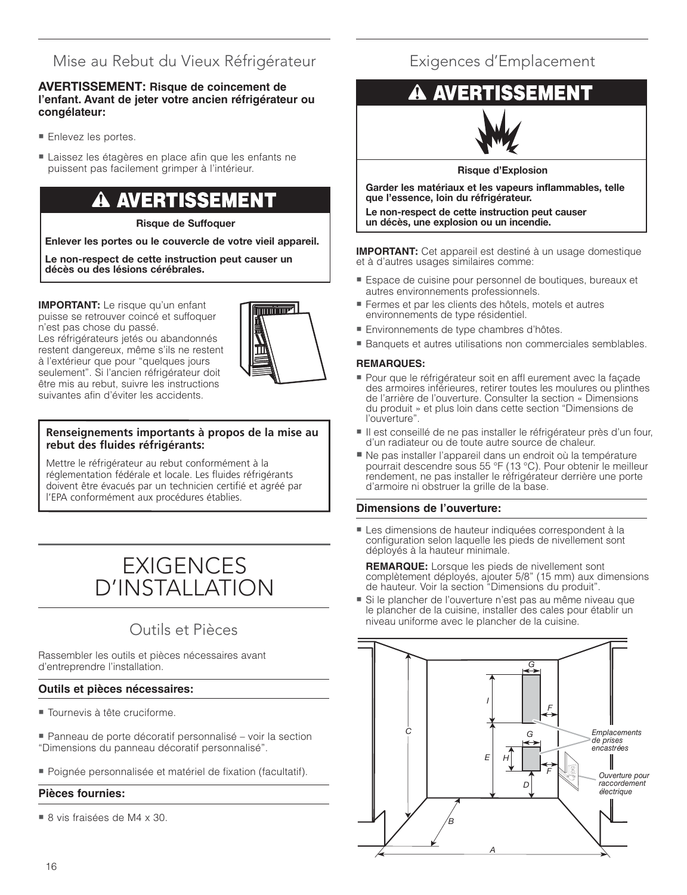## Mise au Rebut du Vieux Réfrigérateur

#### **AVERTISSEMENT: Risque de coincement de l'enfant. Avant de jeter votre ancien réfrigérateur ou congélateur:**

- Enlevez les portes.
- Laissez les étagères en place afin que les enfants ne puissent pas facilement grimper à l'intérieur.

## AVERTISSEMENT

**Risque de Suffoquer**

**Enlever les portes ou le couvercle de votre vieil appareil.**

**Le non-respect de cette instruction peut causer un décès ou des lésions cérébrales.**

**IMPORTANT:** Le risque qu'un enfant puisse se retrouver coincé et suffoquer

n'est pas chose du passé. Les réfrigérateurs jetés ou abandonnés restent dangereux, même s'ils ne restent à l'extérieur que pour "quelques jours seulement". Si l'ancien réfrigérateur doit être mis au rebut, suivre les instructions suivantes afin d'éviter les accidents.

#### **Renseignements importants à propos de la mise au rebut des fluides réfrigérants:**

Mettre le réfrigérateur au rebut conformément à la réglementation fédérale et locale. Les fluides réfrigérants doivent être évacués par un technicien certifié et agréé par l'EPA conformément aux procédures établies.

## EXIGENCES D'INSTALLATION

## Outils et Pièces

Rassembler les outils et pièces nécessaires avant d'entreprendre l'installation.

#### **Outils et pièces nécessaires:**

- Tournevis à tête cruciforme.
- Panneau de porte décoratif personnalisé voir la section "Dimensions du panneau décoratif personnalisé".
- Poignée personnalisée et matériel de fi xation (facultatif).

#### **Pièces fournies:**

■ 8 vis fraisées de M4 x 30.

## Exigences d'Emplacement

## SEMENT



**Risque d'Explosion**

**Garder les matériaux et les vapeurs inflammables, telle que l'essence, loin du réfrigérateur.**

**Le non-respect de cette instruction peut causer un décès, une explosion ou un incendie.**

**IMPORTANT:** Cet appareil est destiné à un usage domestique et à d'autres usages similaires comme:

- Espace de cuisine pour personnel de boutiques, bureaux et autres environnements professionnels.
- Fermes et par les clients des hôtels, motels et autres environnements de type résidentiel.
- Environnements de type chambres d'hôtes.
- Banquets et autres utilisations non commerciales semblables.

#### **REMARQUES:**

- Pour que le réfrigérateur soit en affl eurement avec la façade des armoires inférieures, retirer toutes les moulures ou plinthes de l'arrière de l'ouverture. Consulter la section « Dimensions du produit » et plus loin dans cette section "Dimensions de l'ouverture".
- li est conseillé de ne pas installer le réfrigérateur près d'un four, d'un radiateur ou de toute autre source de chaleur.
- Ne pas installer l'appareil dans un endroit où la température pourrait descendre sous 55 °F (13 °C). Pour obtenir le meilleur rendement, ne pas installer le réfrigérateur derrière une porte d'armoire ni obstruer la grille de la base.

#### **Dimensions de l'ouverture:**

- Les dimensions de hauteur indiquées correspondent à la configuration selon laquelle les pieds de nivellement sont déployés à la hauteur minimale.

**REMARQUE:** Lorsque les pieds de nivellement sont complètement déployés, ajouter 5/8" (15 mm) aux dimensions de hauteur. Voir la section "Dimensions du produit".

- Si le plancher de l'ouverture n'est pas au même niveau que le plancher de la cuisine, installer des cales pour établir un niveau uniforme avec le plancher de la cuisine.

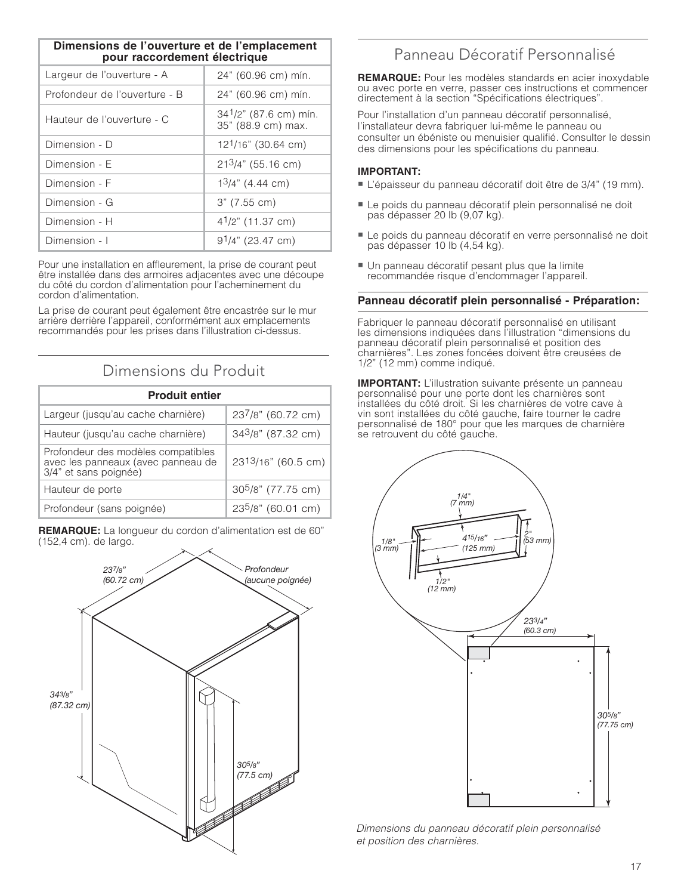| Dimensions de l'ouverture et de l'emplacement<br>pour raccordement électrique |                                                |
|-------------------------------------------------------------------------------|------------------------------------------------|
| Largeur de l'ouverture - A                                                    | 24" (60.96 cm) mín.                            |
| Profondeur de l'ouverture - B                                                 | 24" (60.96 cm) mín.                            |
| Hauteur de l'ouverture - C                                                    | $341/2$ " (87.6 cm) mín.<br>35" (88.9 cm) max. |
| Dimension - D                                                                 | 12 <sup>1</sup> /16" (30.64 cm)                |
| Dimension - E                                                                 | $213/4$ " (55.16 cm)                           |
| Dimension - F                                                                 | $13/4$ " (4.44 cm)                             |
| Dimension - G                                                                 | 3" (7.55 cm)                                   |
| Dimension - H                                                                 | 4 <sup>1</sup> /2" (11.37 cm)                  |
| Dimension - I                                                                 | $91/4$ " (23.47 cm)                            |

Pour une installation en affleurement, la prise de courant peut être installée dans des armoires adjacentes avec une découpe du côté du cordon d'alimentation pour l'acheminement du cordon d'alimentation.

La prise de courant peut également être encastrée sur le mur arrière derrière l'appareil, conformément aux emplacements recommandés pour les prises dans l'illustration ci-dessus.

### Dimensions du Produit

| <b>Produit entier</b>                                                                             |                                |
|---------------------------------------------------------------------------------------------------|--------------------------------|
| Largeur (jusqu'au cache charnière)                                                                | 237/8" (60.72 cm)              |
| Hauteur (jusqu'au cache charnière)                                                                | 343/8" (87.32 cm)              |
| Profondeur des modèles compatibles<br>avec les panneaux (avec panneau de<br>3/4" et sans poignée) | 2313/16" (60.5 cm)             |
| Hauteur de porte                                                                                  | 30 <sup>5</sup> /8" (77.75 cm) |
| Profondeur (sans poignée)                                                                         | 235/8" (60.01 cm)              |

**REMARQUE:** La longueur du cordon d'alimentation est de 60" (152,4 cm). de largo.



## Panneau Décoratif Personnalisé

**REMARQUE:** Pour les modèles standards en acier inoxydable ou avec porte en verre, passer ces instructions et commencer directement à la section "Spécifications électriques".

Pour l'installation d'un panneau décoratif personnalisé, l'installateur devra fabriquer lui-même le panneau ou consulter un ébéniste ou menuisier qualifié. Consulter le dessin des dimensions pour les spécifications du panneau.

#### **IMPORTANT:**

- L'épaisseur du panneau décoratif doit être de 3/4" (19 mm).
- Le poids du panneau décoratif plein personnalisé ne doit pas dépasser 20 lb (9,07 kg).
- Le poids du panneau décoratif en verre personnalisé ne doit pas dépasser 10 lb (4,54 kg).
- Un panneau décoratif pesant plus que la limite recommandée risque d'endommager l'appareil.

#### **Panneau décoratif plein personnalisé - Préparation:**

Fabriquer le panneau décoratif personnalisé en utilisant les dimensions indiquées dans l'illustration "dimensions du panneau décoratif plein personnalisé et position des charnières". Les zones foncées doivent être creusées de 1/2" (12 mm) comme indiqué.

**IMPORTANT:** L'illustration suivante présente un panneau personnalisé pour une porte dont les charnières sont installées du côté droit. Si les charnières de votre cave à vin sont installées du côté gauche, faire tourner le cadre personnalisé de 180° pour que les marques de charnière se retrouvent du côté gauche.



Dimensions du panneau décoratif plein personnalisé et position des charnières.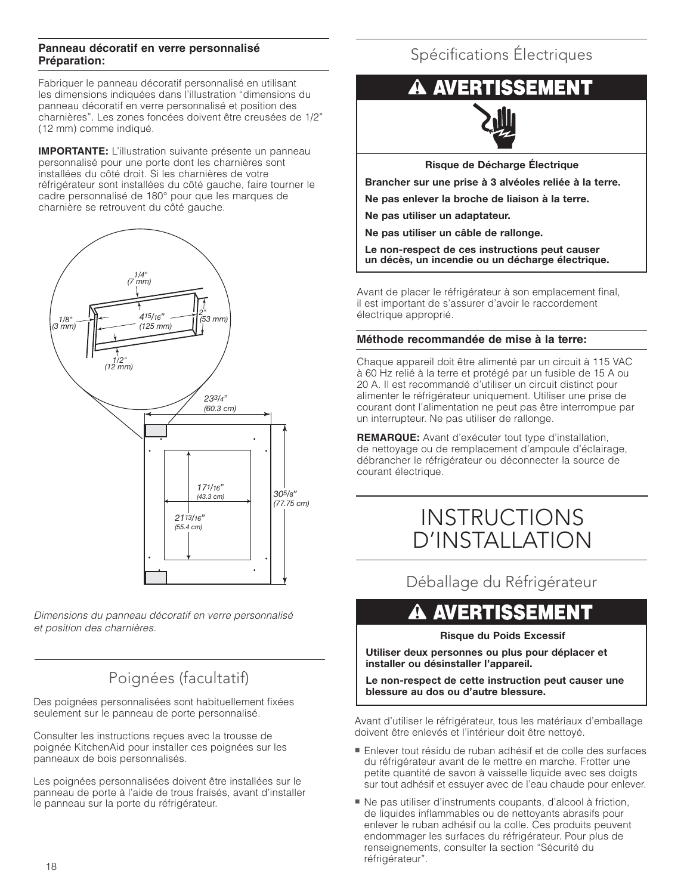#### **Panneau décoratif en verre personnalisé Préparation:**

Fabriquer le panneau décoratif personnalisé en utilisant les dimensions indiquées dans l'illustration "dimensions du panneau décoratif en verre personnalisé et position des charnières". Les zones foncées doivent être creusées de 1/2" (12 mm) comme indiqué.

**IMPORTANTE:** L'illustration suivante présente un panneau personnalisé pour une porte dont les charnières sont installées du côté droit. Si les charnières de votre réfrigérateur sont installées du côté gauche, faire tourner le cadre personnalisé de 180° pour que les marques de charnière se retrouvent du côté gauche.



Dimensions du panneau décoratif en verre personnalisé et position des charnières.

## Poignées (facultatif)

Des poignées personnalisées sont habituellement fixées seulement sur le panneau de porte personnalisé.

Consulter les instructions reçues avec la trousse de poignée KitchenAid pour installer ces poignées sur les panneaux de bois personnalisés.

Les poignées personnalisées doivent être installées sur le panneau de porte à l'aide de trous fraisés, avant d'installer le panneau sur la porte du réfrigérateur.

## Spécifications Électriques

## A AVERTISSEMENT



**Risque de Décharge Électrique**

**Brancher sur une prise à 3 alvéoles reliée à la terre.**

**Ne pas enlever la broche de liaison à la terre.**

**Ne pas utiliser un adaptateur.**

**Ne pas utiliser un câble de rallonge.**

**Le non-respect de ces instructions peut causer un décès, un incendie ou un décharge électrique.**

Avant de placer le réfrigérateur à son emplacement final, il est important de s'assurer d'avoir le raccordement électrique approprié.

#### **Méthode recommandée de mise à la terre:**

Chaque appareil doit être alimenté par un circuit à 115 VAC à 60 Hz relié à la terre et protégé par un fusible de 15 A ou 20 A. Il est recommandé d'utiliser un circuit distinct pour alimenter le réfrigérateur uniquement. Utiliser une prise de courant dont l'alimentation ne peut pas être interrompue par un interrupteur. Ne pas utiliser de rallonge.

**REMARQUE:** Avant d'exécuter tout type d'installation, de nettoyage ou de remplacement d'ampoule d'éclairage, débrancher le réfrigérateur ou déconnecter la source de courant électrique.

## INSTRUCTIONS D'INSTALLATION

Déballage du Réfrigérateur

## **A AVERTISSEMENT**

#### **Risque du Poids Excessif**

**Utiliser deux personnes ou plus pour déplacer et installer ou désinstaller l'appareil.**

**Le non-respect de cette instruction peut causer une blessure au dos ou d'autre blessure.**

Avant d'utiliser le réfrigérateur, tous les matériaux d'emballage doivent être enlevés et l'intérieur doit être nettoyé.

- Enlever tout résidu de ruban adhésif et de colle des surfaces du réfrigérateur avant de le mettre en marche. Frotter une petite quantité de savon à vaisselle liquide avec ses doigts sur tout adhésif et essuyer avec de l'eau chaude pour enlever.
- Ne pas utiliser d'instruments coupants, d'alcool à friction, de liquides inflammables ou de nettoyants abrasifs pour enlever le ruban adhésif ou la colle. Ces produits peuvent endommager les surfaces du réfrigérateur. Pour plus de renseignements, consulter la section "Sécurité du réfrigérateur".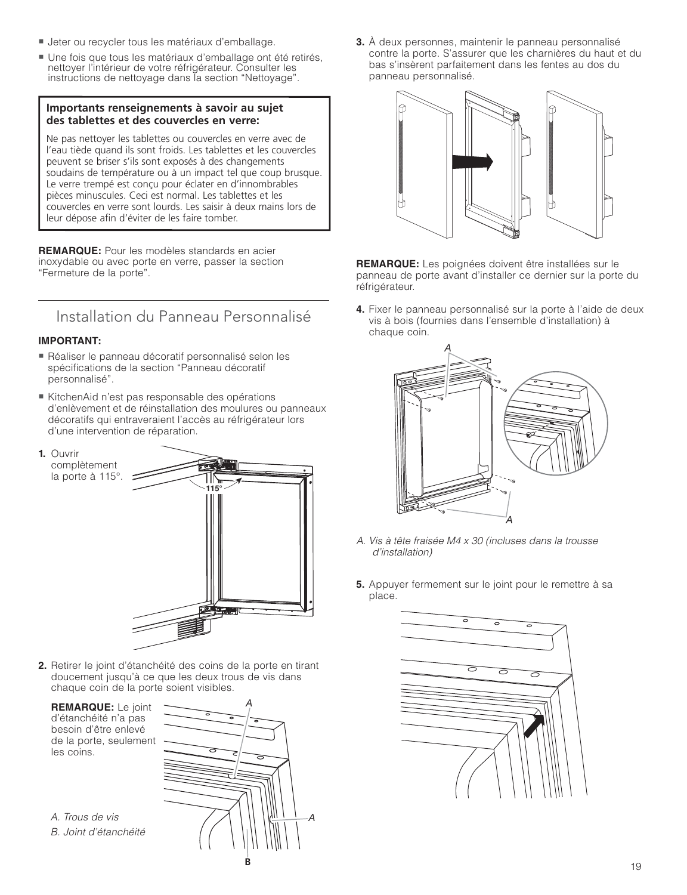- Jeter ou recycler tous les matériaux d'emballage.
- Une fois que tous les matériaux d'emballage ont été retirés, nettoyer l'intérieur de votre réfrigérateur. Consulter les instructions de nettoyage dans la section "Nettoyage".

#### **Importants renseignements à savoir au sujet des tablettes et des couvercles en verre:**

Ne pas nettoyer les tablettes ou couvercles en verre avec de l'eau tiède quand ils sont froids. Les tablettes et les couvercles peuvent se briser s'ils sont exposés à des changements soudains de température ou à un impact tel que coup brusque. Le verre trempé est conçu pour éclater en d'innombrables pièces minuscules. Ceci est normal. Les tablettes et les couvercles en verre sont lourds. Les saisir à deux mains lors de leur dépose afin d'éviter de les faire tomber.

**REMARQUE:** Pour les modèles standards en acier inoxydable ou avec porte en verre, passer la section "Fermeture de la porte".

## Installation du Panneau Personnalisé

#### **IMPORTANT:**

- Réaliser le panneau décoratif personnalisé selon les spécifications de la section "Panneau décoratif personnalisé".
- KitchenAid n'est pas responsable des opérations d'enlèvement et de réinstallation des moulures ou panneaux décoratifs qui entraveraient l'accès au réfrigérateur lors d'une intervention de réparation.
- **1.** Ouvrir complètement



**2.** Retirer le joint d'étanchéité des coins de la porte en tirant doucement jusqu'à ce que les deux trous de vis dans chaque coin de la porte soient visibles.

 **REMARQUE:** Le joint d'étanchéité n'a pas besoin d'être enlevé de la porte, seulement les coins.

A. Trous de vis B. Joint d'étanchéité



**3.** À deux personnes, maintenir le panneau personnalisé contre la porte. S'assurer que les charnières du haut et du bas s'insèrent parfaitement dans les fentes au dos du panneau personnalisé.



**REMARQUE:** Les poignées doivent être installées sur le panneau de porte avant d'installer ce dernier sur la porte du réfrigérateur.

**4.** Fixer le panneau personnalisé sur la porte à l'aide de deux vis à bois (fournies dans l'ensemble d'installation) à chaque coin.



- A. Vis à tête fraisée M4 x 30 (incluses dans la trousse d'installation)
- **5.** Appuyer fermement sur le joint pour le remettre à sa place.

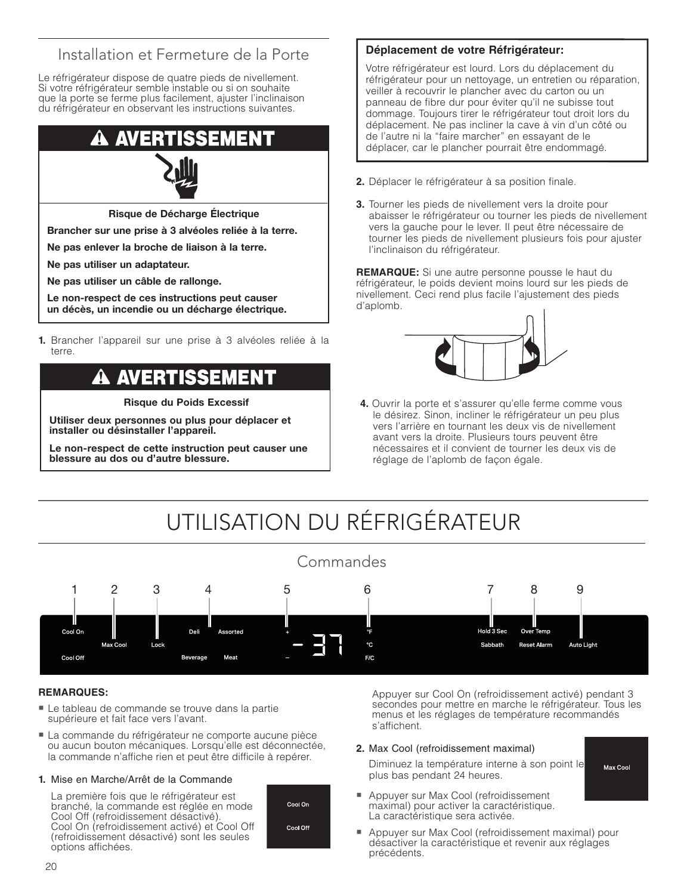## Installation et Fermeture de la Porte

Le réfrigérateur dispose de quatre pieds de nivellement. Si votre réfrigérateur semble instable ou si on souhaite que la porte se ferme plus facilement, ajuster l'inclinaison du réfrigérateur en observant les instructions suivantes.

#### ER EME



**Risque de Décharge Électrique**

**Brancher sur une prise à 3 alvéoles reliée à la terre.**

**Ne pas enlever la broche de liaison à la terre.**

**Ne pas utiliser un adaptateur.**

**Ne pas utiliser un câble de rallonge.**

**Le non-respect de ces instructions peut causer un décès, un incendie ou un décharge électrique.**

**1.** Brancher l'appareil sur une prise à 3 alvéoles reliée à la terre.

## AVERTISSEMENT

**Risque du Poids Excessif**

**Utiliser deux personnes ou plus pour déplacer et installer ou désinstaller l'appareil.**

**Le non-respect de cette instruction peut causer une blessure au dos ou d'autre blessure.**

#### **Déplacement de votre Réfrigérateur:**

Votre réfrigérateur est lourd. Lors du déplacement du réfrigérateur pour un nettoyage, un entretien ou réparation, veiller à recouvrir le plancher avec du carton ou un panneau de fibre dur pour éviter qu'il ne subisse tout dommage. Toujours tirer le réfrigérateur tout droit lors du déplacement. Ne pas incliner la cave à vin d'un côté ou de l'autre ni la "faire marcher" en essayant de le déplacer, car le plancher pourrait être endommagé.

- **2.** Déplacer le réfrigérateur à sa position finale.
- **3.** Tourner les pieds de nivellement vers la droite pour abaisser le réfrigérateur ou tourner les pieds de nivellement vers la gauche pour le lever. Il peut être nécessaire de tourner les pieds de nivellement plusieurs fois pour ajuster l'inclinaison du réfrigérateur.

**REMARQUE:** Si une autre personne pousse le haut du réfrigérateur, le poids devient moins lourd sur les pieds de nivellement. Ceci rend plus facile l'ajustement des pieds d'aplomb.



**4.** Ouvrir la porte et s'assurer qu'elle ferme comme vous le désirez. Sinon, incliner le réfrigérateur un peu plus vers l'arrière en tournant les deux vis de nivellement avant vers la droite. Plusieurs tours peuvent être nécessaires et il convient de tourner les deux vis de réglage de l'aplomb de façon égale.

# UTILISATION DU RÉFRIGÉRATEUR



#### **REMARQUES:**

- Le tableau de commande se trouve dans la partie supérieure et fait face vers l'avant.
- La commande du réfrigérateur ne comporte aucune pièce ou aucun bouton mécaniques. Lorsqu'elle est déconnectée, la commande n'affiche rien et peut être difficile à repérer.

#### **1.** Mise en Marche/Arrêt de la Commande

 La première fois que le réfrigérateur est branché, la commande est réglée en mode Cool Off (refroidissement désactivé). Cool On (refroidissement activé) et Cool Off (refroidissement désactivé) sont les seules options affichées.



 Appuyer sur Cool On (refroidissement activé) pendant 3 secondes pour mettre en marche le réfrigérateur. Tous les menus et les réglages de température recommandés s'affichent.

Max Cool

#### **2.** Max Cool (refroidissement maximal)

 Diminuez la température interne à son point le plus bas pendant 24 heures.

- Appuyer sur Max Cool (refroidissement maximal) pour activer la caractéristique. La caractéristique sera activée.
- - Appuyer sur Max Cool (refroidissement maximal) pour désactiver la caractéristique et revenir aux réglages précédents.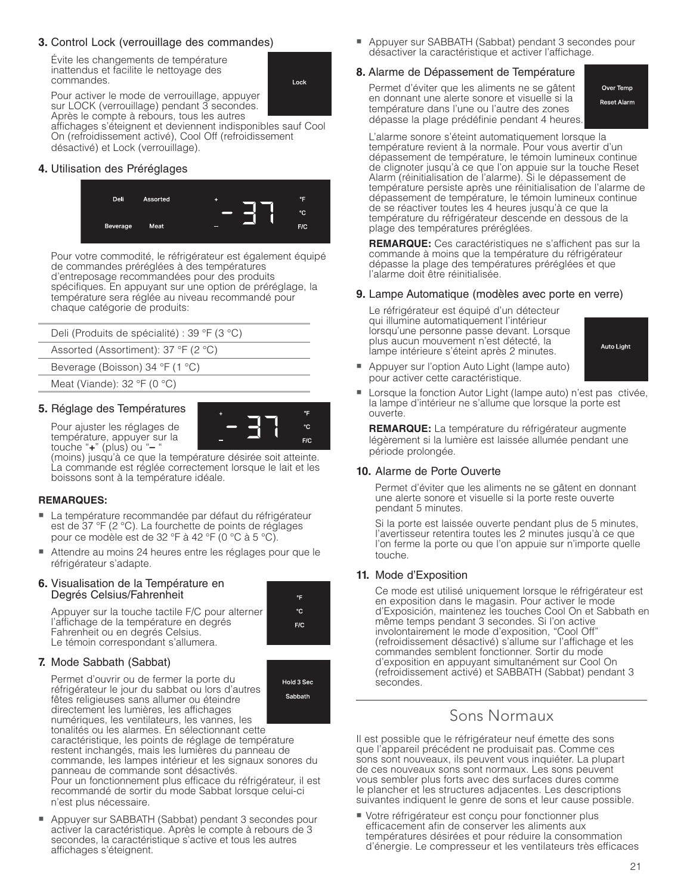#### **3.** Control Lock (verrouillage des commandes)

 Évite les changements de température inattendus et facilite le nettoyage des commandes.

Lock

۰F °C  $F/C$ 

۰F

 $F/C$ 

Hold 3 Sec Sabbath

 Pour activer le mode de verrouillage, appuyer sur LOCK (verrouillage) pendant 3 secondes. Après le compte à rebours, tous les autres affichages s'éteignent et deviennent indisponibles sauf Cool On (refroidissement activé), Cool Off (refroidissement désactivé) et Lock (verrouillage).

#### **4.** Utilisation des Préréglages



Pour votre commodité, le réfrigérateur est également équipé de commandes préréglées à des températures d'entreposage recommandées pour des produits spécifiques. En appuyant sur une option de préréglage, la température sera réglée au niveau recommandé pour chaque catégorie de produits:

| Deli (Produits de spécialité) : 39 °F (3 °C)      |
|---------------------------------------------------|
| Assorted (Assortiment): 37 °F (2 °C)              |
| Beverage (Boisson) 34 $\degree$ F (1 $\degree$ C) |
| Meat (Viande): $32 \degree F$ (0 $\degree C$ )    |
|                                                   |

#### **5.** Réglage des Températures



(moins) jusqu'à ce que la température désirée soit atteinte. La commande est réglée correctement lorsque le lait et les boissons sont à la température idéale.

#### **REMARQUES:**

- La température recommandée par défaut du réfrigérateur est de 37 °F (2 °C). La fourchette de points de réglages pour ce modèle est de 32 °F à 42 °F (0 °C à 5 °C).
- Attendre au moins 24 heures entre les réglages pour que le réfrigérateur s'adapte.

#### **6.** Visualisation de la Température en Degrés Celsius/Fahrenheit

 Appuyer sur la touche tactile F/C pour alterner l'affichage de la température en degrés Fahrenheit ou en degrés Celsius. Le témoin correspondant s'allumera.

#### **7.** Mode Sabbath (Sabbat)

 Permet d'ouvrir ou de fermer la porte du réfrigérateur le jour du sabbat ou lors d'autres fêtes religieuses sans allumer ou éteindre directement les lumières, les affichages numériques, les ventilateurs, les vannes, les

 tonalités ou les alarmes. En sélectionnant cette caractéristique, les points de réglage de température restent inchangés, mais les lumières du panneau de commande, les lampes intérieur et les signaux sonores du panneau de commande sont désactivés. Pour un fonctionnement plus efficace du réfrigérateur, il est

 recommandé de sortir du mode Sabbat lorsque celui-ci n'est plus nécessaire.

- Appuyer sur SABBATH (Sabbat) pendant 3 secondes pour activer la caractéristique. Après le compte à rebours de 3 secondes, la caractéristique s'active et tous les autres affichages s'éteignent.

- Appuyer sur SABBATH (Sabbat) pendant 3 secondes pour désactiver la caractéristique et activer l'affichage.

#### **8.** Alarme de Dépassement de Température

 Permet d'éviter que les aliments ne se gâtent en donnant une alerte sonore et visuelle si la température dans l'une ou l'autre des zones dépasse la plage prédéfinie pendant 4 heures.

Over Temp Reset Alarm

 L'alarme sonore s'éteint automatiquement lorsque la température revient à la normale. Pour vous avertir d'un dépassement de température, le témoin lumineux continue de clignoter jusqu'à ce que l'on appuie sur la touche Reset Alarm (réinitialisation de l'alarme). Si le dépassement de température persiste après une réinitialisation de l'alarme de dépassement de température, le témoin lumineux continue de se réactiver toutes les 4 heures jusqu'à ce que la température du réfrigérateur descende en dessous de la plage des températures préréglées.

**REMARQUE:** Ces caractéristiques ne s'affichent pas sur la commande à moins que la température du réfrigérateur dépasse la plage des températures préréglées et que l'alarme doit être réinitialisée.

#### **9.** Lampe Automatique (modèles avec porte en verre)

 Le réfrigérateur est équipé d'un détecteur qui illumine automatiquement l'intérieur lorsqu'une personne passe devant. Lorsque plus aucun mouvement n'est détecté, la lampe intérieure s'éteint après 2 minutes.



- - Appuyer sur l'option Auto Light (lampe auto) pour activer cette caractéristique.
- - Lorsque la fonction Autor Light (lampe auto) n'est pas ctivée, la lampe d'intérieur ne s'allume que lorsque la porte est ouverte.

 **REMARQUE:** La température du réfrigérateur augmente légèrement si la lumière est laissée allumée pendant une période prolongée.

#### **10.** Alarme de Porte Ouverte

 Permet d'éviter que les aliments ne se gâtent en donnant une alerte sonore et visuelle si la porte reste ouverte pendant 5 minutes.

 Si la porte est laissée ouverte pendant plus de 5 minutes, l'avertisseur retentira toutes les 2 minutes jusqu'à ce que l'on ferme la porte ou que l'on appuie sur n'importe quelle touche.

#### **11.** Mode d'Exposition

 Ce mode est utilisé uniquement lorsque le réfrigérateur est en exposition dans le magasin. Pour activer le mode d'Exposición, maintenez les touches Cool On et Sabbath en même temps pendant 3 secondes. Si l'on active involontairement le mode d'exposition, "Cool Off" (refroidissement désactivé) s'allume sur l'affichage et les commandes semblent fonctionner. Sortir du mode d'exposition en appuyant simultanément sur Cool On (refroidissement activé) et SABBATH (Sabbat) pendant 3 secondes.

### Sons Normaux

Il est possible que le réfrigérateur neuf émette des sons que l'appareil précédent ne produisait pas. Comme ces sons sont nouveaux, ils peuvent vous inquiéter. La plupart de ces nouveaux sons sont normaux. Les sons peuvent vous sembler plus forts avec des surfaces dures comme le plancher et les structures adjacentes. Les descriptions suivantes indiquent le genre de sons et leur cause possible.

■ Votre réfrigérateur est conçu pour fonctionner plus efficacement afin de conserver les aliments aux températures désirées et pour réduire la consommation d'énergie. Le compresseur et les ventilateurs très efficaces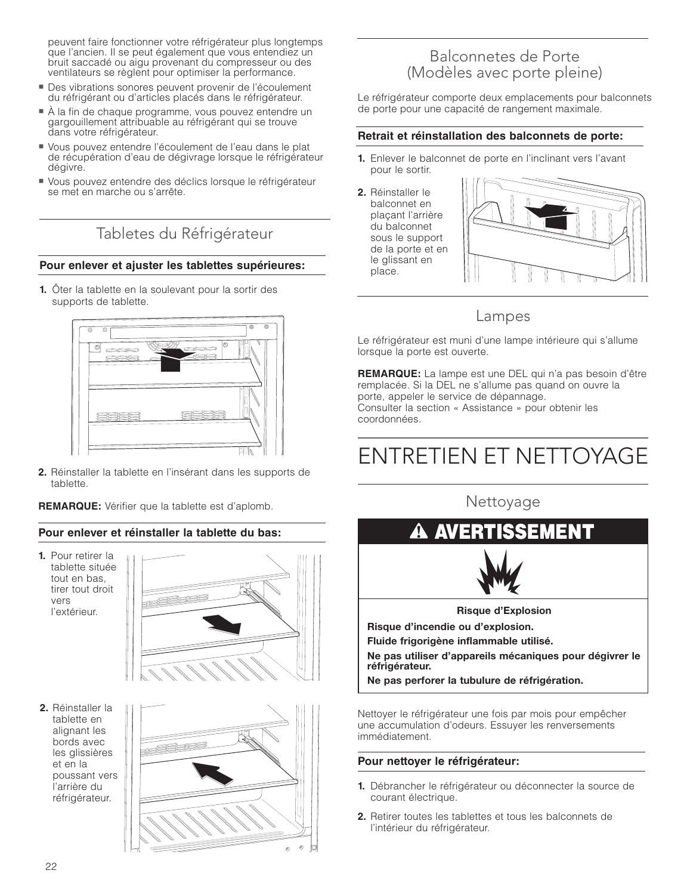peuvent faire fonctionner votre réfrigérateur plus longtemps que l'ancien. Il se peut également que vous entendiez un bruit saccadé ou aigu provenant du compresseur ou des ventilateurs se règlent pour optimiser la performance.

- Des vibrations sonores peuvent provenir de l'écoulement du réfrigérant ou d'articles placés dans le réfrigérateur.
- À la fin de chaque programme, vous pouvez entendre un gargouillement attribuable au réfrigérant qui se trouve dans votre réfrigérateur.
- Vous pouvez entendre l'écoulement de l'eau dans le plat de récupération d'eau de dégivrage lorsque le réfrigérateur dégivre.
- Vous pouvez entendre des déclics lorsque le réfrigérateur se met en marche ou s'arrête.

## Tabletes du Réfrigérateur

#### **Pour enlever et ajuster les tablettes supérieures:**

**1.** Ôter la tablette en la soulevant pour la sortir des supports de tablette.



**2.** Réinstaller la tablette en l'insérant dans les supports de tablette.

**REMARQUE:** Vérifier que la tablette est d'aplomb.

#### **Pour enlever et réinstaller la tablette du bas:**

**1.** Pour retirer la tablette située tout en bas, tirer tout droit vers l'extérieur.



**2.** Réinstaller la tablette en alignant les bords avec les glissières et en la poussant vers l'arrière du réfrigérateur.



### Balconnetes de Porte (Modèles avec porte pleine)

Le réfrigérateur comporte deux emplacements pour balconnets de porte pour une capacité de rangement maximale.

#### **Retrait et réinstallation des balconnets de porte:**

- **1.** Enlever le balconnet de porte en l'inclinant vers l'avant pour le sortir.
- **2.** Réinstaller le balconnet en plaçant l'arrière du balconnet sous le support de la porte et en le glissant en place.



### Lampes

Le réfrigérateur est muni d'une lampe intérieure qui s'allume lorsque la porte est ouverte.

**REMARQUE:** La lampe est une DEL qui n'a pas besoin d'être remplacée. Si la DEL ne s'allume pas quand on ouvre la porte, appeler le service de dépannage. Consulter la section « Assistance » pour obtenir les coordonnées.

# ENTRETIEN ET NETTOYAGE

Nettoyage



Nettoyer le réfrigérateur une fois par mois pour empêcher une accumulation d'odeurs. Essuyer les renversements immédiatement.

#### **Pour nettoyer le réfrigérateur:**

- **1.** Débrancher le réfrigérateur ou déconnecter la source de courant électrique.
- **2.** Retirer toutes les tablettes et tous les balconnets de l'intérieur du réfrigérateur.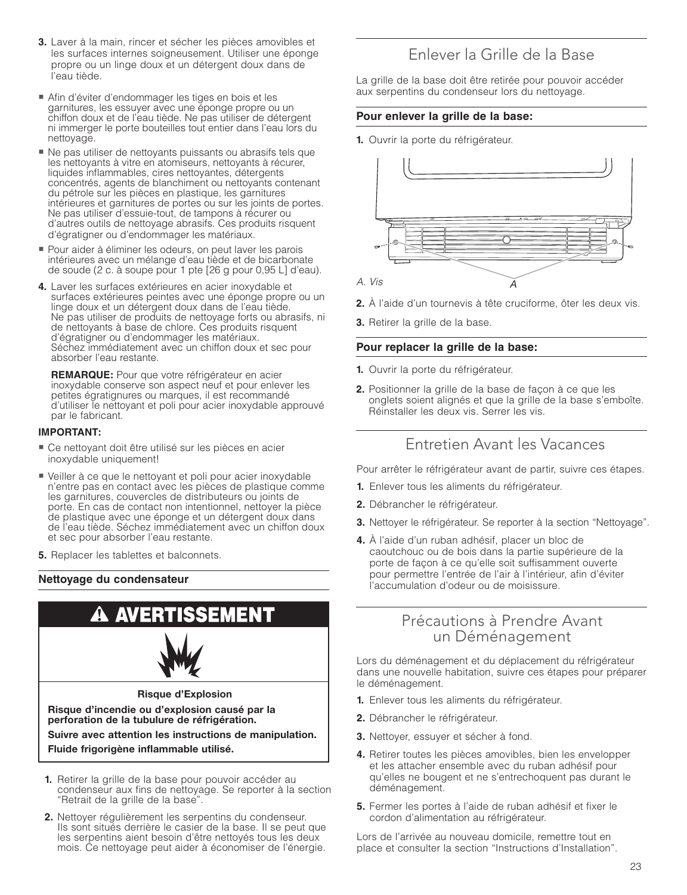- **3.** Laver à la main, rincer et sécher les pièces amovibles et les surfaces internes soigneusement. Utiliser une éponge propre ou un linge doux et un détergent doux dans de l'eau tiède.
- Afin d'éviter d'endommager les tiges en bois et les garnitures, les essuyer avec une éponge propre ou un chiffon doux et de l'eau tiède. Ne pas utiliser de détergent ni immerger le porte bouteilles tout entier dans l'eau lors du nettoyage.
- Ne pas utiliser de nettoyants puissants ou abrasifs tels que les nettoyants à vitre en atomiseurs, nettoyants à récurer, liquides inflammables, cires nettoyantes, détergents concentrés, agents de blanchiment ou nettoyants contenant du pétrole sur les pièces en plastique, les garnitures intérieures et garnitures de portes ou sur les joints de portes. Ne pas utiliser d'essuie-tout, de tampons à récurer ou d'autres outils de nettoyage abrasifs. Ces produits risquent d'égratigner ou d'endommager les matériaux.
- Pour aider à éliminer les odeurs, on peut laver les parois intérieures avec un mélange d'eau tiède et de bicarbonate de soude (2 c. à soupe pour 1 pte [26 g pour 0,95 L] d'eau).
- **4.** Laver les surfaces extérieures en acier inoxydable et surfaces extérieures peintes avec une éponge propre ou un linge doux et un détergent doux dans de l'eau tiède. Ne pas utiliser de produits de nettoyage forts ou abrasifs, ni de nettoyants à base de chlore. Ces produits risquent d'égratigner ou d'endommager les matériaux. Séchez immédiatement avec un chiffon doux et sec pour absorber l'eau restante.

 **REMARQUE:** Pour que votre réfrigérateur en acier inoxydable conserve son aspect neuf et pour enlever les petites égratignures ou marques, il est recommandé d'utiliser le nettoyant et poli pour acier inoxydable approuvé par le fabricant.

#### **IMPORTANT:**

- Ce nettoyant doit être utilisé sur les pièces en acier inoxydable uniquement!
- Veiller à ce que le nettoyant et poli pour acier inoxydable n'entre pas en contact avec les pièces de plastique comme les garnitures, couvercles de distributeurs ou joints de porte. En cas de contact non intentionnel, nettoyer la pièce de plastique avec une éponge et un détergent doux dans de l'eau tiède. Séchez immédiatement avec un chiffon doux et sec pour absorber l'eau restante.
- **5.** Replacer les tablettes et balconnets.

#### **Nettoyage du condensateur**



- condenseur aux fins de nettoyage. Se reporter à la section "Retrait de la grille de la base".
- **2.** Nettoyer régulièrement les serpentins du condenseur. Ils sont situés derrière le casier de la base. Il se peut que les serpentins aient besoin d'être nettoyés tous les deux mois. Ce nettoyage peut aider à économiser de l'énergie.

### Enlever la Grille de la Base

La grille de la base doit être retirée pour pouvoir accéder aux serpentins du condenseur lors du nettoyage.

#### **Pour enlever la grille de la base:**

**1.** Ouvrir la porte du réfrigérateur.



- **2.** À l'aide d'un tournevis à tête cruciforme, ôter les deux vis.
- **3.** Retirer la grille de la base.

#### **Pour replacer la grille de la base:**

- **1.** Ouvrir la porte du réfrigérateur.
- **2.** Positionner la grille de la base de façon à ce que les onglets soient alignés et que la grille de la base s'emboîte. Réinstaller les deux vis. Serrer les vis.

### Entretien Avant les Vacances

Pour arrêter le réfrigérateur avant de partir, suivre ces étapes.

- **1.** Enlever tous les aliments du réfrigérateur.
- **2.** Débrancher le réfrigérateur.
- **3.** Nettoyer le réfrigérateur. Se reporter à la section "Nettoyage".
- **4.** À l'aide d'un ruban adhésif, placer un bloc de caoutchouc ou de bois dans la partie supérieure de la porte de façon à ce qu'elle soit suffisamment ouverte pour permettre l'entrée de l'air à l'intérieur, afin d'éviter l'accumulation d'odeur ou de moisissure.

#### Précautions à Prendre Avant un Déménagement

Lors du déménagement et du déplacement du réfrigérateur dans une nouvelle habitation, suivre ces étapes pour préparer le déménagement.

- **1.** Enlever tous les aliments du réfrigérateur.
- **2.** Débrancher le réfrigérateur.
- **3.** Nettoyer, essuyer et sécher à fond.
- **4.** Retirer toutes les pièces amovibles, bien les envelopper et les attacher ensemble avec du ruban adhésif pour qu'elles ne bougent et ne s'entrechoquent pas durant le déménagement.
- **5.** Fermer les portes à l'aide de ruban adhésif et fixer le cordon d'alimentation au réfrigérateur.

Lors de l'arrivée au nouveau domicile, remettre tout en place et consulter la section "Instructions d'Installation".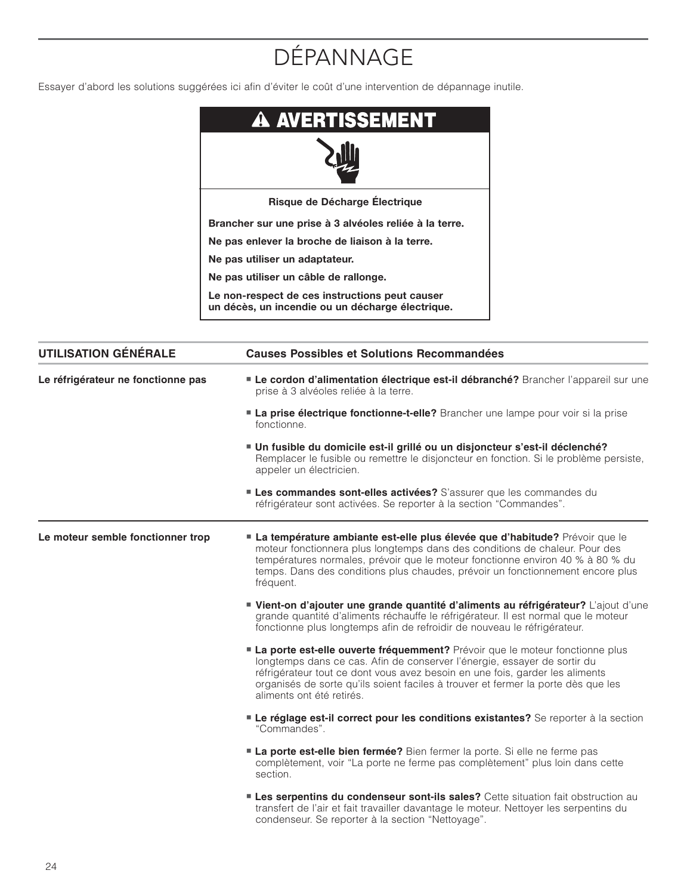# DÉPANNAGE

Essayer d'abord les solutions suggérées ici afin d'éviter le coût d'une intervention de dépannage inutile.

| <b>A AVERTISSEMENT</b>                                                                             |
|----------------------------------------------------------------------------------------------------|
|                                                                                                    |
| Risque de Décharge Électrique                                                                      |
| Brancher sur une prise à 3 alvéoles reliée à la terre.                                             |
| Ne pas enlever la broche de liaison à la terre.                                                    |
| Ne pas utiliser un adaptateur.                                                                     |
| Ne pas utiliser un câble de rallonge.                                                              |
| Le non-respect de ces instructions peut causer<br>un décès, un incendie ou un décharge électrique. |

| <b>UTILISATION GÉNÉRALE</b>        | <b>Causes Possibles et Solutions Recommandées</b>                                                                                                                                                                                                                                                                                                                 |  |
|------------------------------------|-------------------------------------------------------------------------------------------------------------------------------------------------------------------------------------------------------------------------------------------------------------------------------------------------------------------------------------------------------------------|--|
| Le réfrigérateur ne fonctionne pas | " Le cordon d'alimentation électrique est-il débranché? Brancher l'appareil sur une<br>prise à 3 alvéoles reliée à la terre.                                                                                                                                                                                                                                      |  |
|                                    | La prise électrique fonctionne-t-elle? Brancher une lampe pour voir si la prise<br>fonctionne.                                                                                                                                                                                                                                                                    |  |
|                                    | Un fusible du domicile est-il grillé ou un disjoncteur s'est-il déclenché?<br>Remplacer le fusible ou remettre le disjoncteur en fonction. Si le problème persiste,<br>appeler un électricien.                                                                                                                                                                    |  |
|                                    | Les commandes sont-elles activées? S'assurer que les commandes du<br>réfrigérateur sont activées. Se reporter à la section "Commandes".                                                                                                                                                                                                                           |  |
| Le moteur semble fonctionner trop  | La température ambiante est-elle plus élevée que d'habitude? Prévoir que le<br>moteur fonctionnera plus longtemps dans des conditions de chaleur. Pour des<br>températures normales, prévoir que le moteur fonctionne environ 40 % à 80 % du<br>temps. Dans des conditions plus chaudes, prévoir un fonctionnement encore plus<br>fréquent.                       |  |
|                                    | " Vient-on d'ajouter une grande quantité d'aliments au réfrigérateur? L'ajout d'une<br>grande quantité d'aliments réchauffe le réfrigérateur. Il est normal que le moteur<br>fonctionne plus longtemps afin de refroidir de nouveau le réfrigérateur.                                                                                                             |  |
|                                    | <b>La porte est-elle ouverte fréquemment?</b> Prévoir que le moteur fonctionne plus<br>longtemps dans ce cas. Afin de conserver l'énergie, essayer de sortir du<br>réfrigérateur tout ce dont vous avez besoin en une fois, garder les aliments<br>organisés de sorte qu'ils soient faciles à trouver et fermer la porte dès que les<br>aliments ont été retirés. |  |
|                                    | Le réglage est-il correct pour les conditions existantes? Se reporter à la section<br>"Commandes".                                                                                                                                                                                                                                                                |  |
|                                    | La porte est-elle bien fermée? Bien fermer la porte. Si elle ne ferme pas<br>complètement, voir "La porte ne ferme pas complètement" plus loin dans cette<br>section.                                                                                                                                                                                             |  |
|                                    | <b>Les serpentins du condenseur sont-ils sales?</b> Cette situation fait obstruction au<br>transfert de l'air et fait travailler davantage le moteur. Nettoyer les serpentins du<br>condenseur. Se reporter à la section "Nettoyage".                                                                                                                             |  |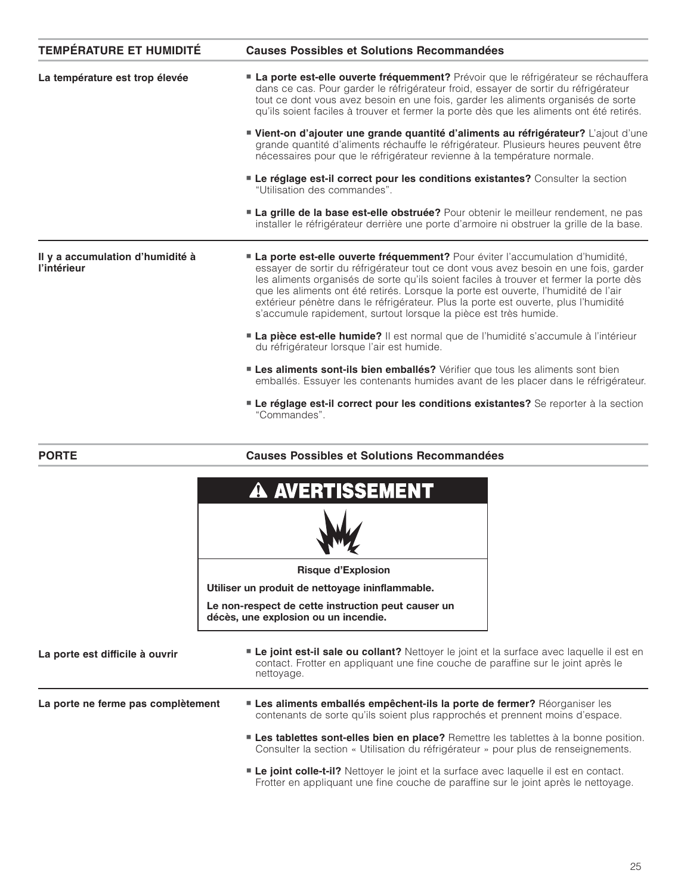| <b>TEMPÉRATURE ET HUMIDITÉ</b>                  | <b>Causes Possibles et Solutions Recommandées</b>                                                                                                                                                                                                                                                                                                                                                                                                                                                                        |
|-------------------------------------------------|--------------------------------------------------------------------------------------------------------------------------------------------------------------------------------------------------------------------------------------------------------------------------------------------------------------------------------------------------------------------------------------------------------------------------------------------------------------------------------------------------------------------------|
| La température est trop élevée                  | <b>La porte est-elle ouverte fréquemment?</b> Prévoir que le réfrigérateur se réchauffera<br>dans ce cas. Pour garder le réfrigérateur froid, essayer de sortir du réfrigérateur<br>tout ce dont vous avez besoin en une fois, garder les aliments organisés de sorte<br>qu'ils soient faciles à trouver et fermer la porte dès que les aliments ont été retirés.                                                                                                                                                        |
|                                                 | Vient-on d'ajouter une grande quantité d'aliments au réfrigérateur? L'ajout d'une<br>grande quantité d'aliments réchauffe le réfrigérateur. Plusieurs heures peuvent être<br>nécessaires pour que le réfrigérateur revienne à la température normale.                                                                                                                                                                                                                                                                    |
|                                                 | Le réglage est-il correct pour les conditions existantes? Consulter la section<br>"Utilisation des commandes".                                                                                                                                                                                                                                                                                                                                                                                                           |
|                                                 | <b>La grille de la base est-elle obstruée?</b> Pour obtenir le meilleur rendement, ne pas<br>installer le réfrigérateur derrière une porte d'armoire ni obstruer la grille de la base.                                                                                                                                                                                                                                                                                                                                   |
| Il y a accumulation d'humidité à<br>l'intérieur | <b>La porte est-elle ouverte fréquemment?</b> Pour éviter l'accumulation d'humidité,<br>essayer de sortir du réfrigérateur tout ce dont vous avez besoin en une fois, garder<br>les aliments organisés de sorte qu'ils soient faciles à trouver et fermer la porte dès<br>que les aliments ont été retirés. Lorsque la porte est ouverte, l'humidité de l'air<br>extérieur pénètre dans le réfrigérateur. Plus la porte est ouverte, plus l'humidité<br>s'accumule rapidement, surtout lorsque la pièce est très humide. |
|                                                 | <b>La pièce est-elle humide?</b> Il est normal que de l'humidité s'accumule à l'intérieur<br>du réfrigérateur lorsque l'air est humide.                                                                                                                                                                                                                                                                                                                                                                                  |
|                                                 | <b>Les aliments sont-ils bien emballés?</b> Vérifier que tous les aliments sont bien<br>emballés. Essuyer les contenants humides avant de les placer dans le réfrigérateur.                                                                                                                                                                                                                                                                                                                                              |
|                                                 | <b>Le réglage est-il correct pour les conditions existantes?</b> Se reporter à la section<br>"Commandes".                                                                                                                                                                                                                                                                                                                                                                                                                |

#### **Causes Possibles et Solutions Recommandées**

**PORTE**

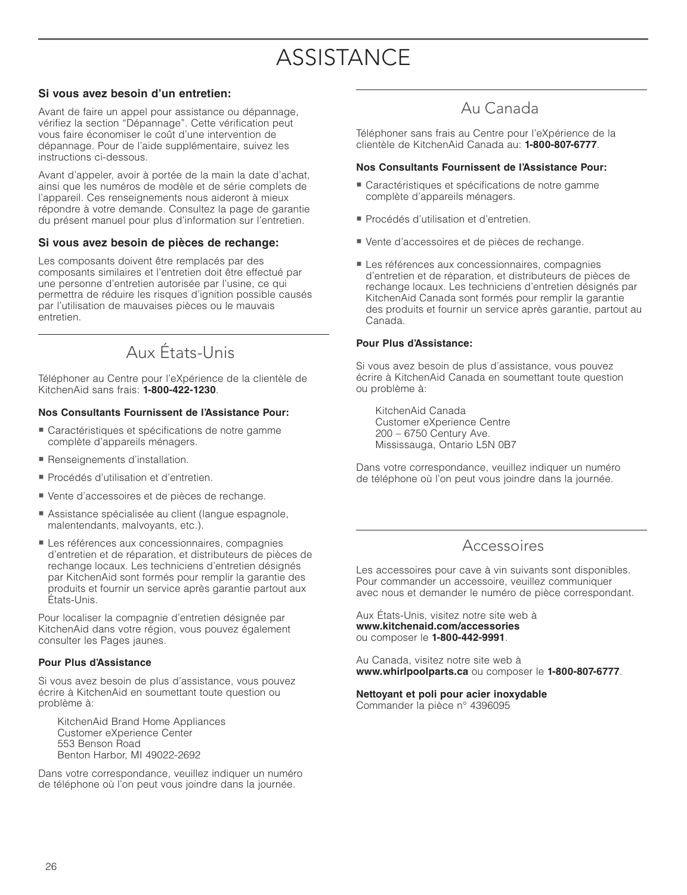# **ASSISTANCE**

#### **Si vous avez besoin d'un entretien:**

Avant de faire un appel pour assistance ou dépannage, vérifiez la section "Dépannage". Cette vérification peut vous faire économiser le coût d'une intervention de dépannage. Pour de l'aide supplémentaire, suivez les instructions ci-dessous.

Avant d'appeler, avoir à portée de la main la date d'achat, ainsi que les numéros de modèle et de série complets de l'appareil. Ces renseignements nous aideront à mieux répondre à votre demande. Consultez la page de garantie du présent manuel pour plus d'information sur l'entretien.

#### **Si vous avez besoin de pièces de rechange:**

Les composants doivent être remplacés par des composants similaires et l'entretien doit être effectué par une personne d'entretien autorisée par l'usine, ce qui permettra de réduire les risques d'ignition possible causés par l'utilisation de mauvaises pièces ou le mauvais entretien.

## Aux États-Unis

Téléphoner au Centre pour l'eXpérience de la clientèle de KitchenAid sans frais: **1-800-422-1230**.

#### **Nos Consultants Fournissent de l'Assistance Pour:**

- Caractéristiques et spécifications de notre gamme complète d'appareils ménagers.
- Renseignements d'installation.
- Procédés d'utilisation et d'entretien.
- Vente d'accessoires et de pièces de rechange.
- Assistance spécialisée au client (langue espagnole, malentendants, malvoyants, etc.).
- Les références aux concessionnaires, compagnies d'entretien et de réparation, et distributeurs de pièces de rechange locaux. Les techniciens d'entretien désignés par KitchenAid sont formés pour remplir la garantie des produits et fournir un service après garantie partout aux États-Unis.

Pour localiser la compagnie d'entretien désignée par KitchenAid dans votre région, vous pouvez également consulter les Pages jaunes.

#### **Pour Plus d'Assistance**

Si vous avez besoin de plus d'assistance, vous pouvez écrire à KitchenAid en soumettant toute question ou problème à:

 KitchenAid Brand Home Appliances Customer eXperience Center 553 Benson Road Benton Harbor, MI 49022-2692

Dans votre correspondance, veuillez indiquer un numéro de téléphone où l'on peut vous joindre dans la journée.

## Au Canada

Téléphoner sans frais au Centre pour l'eXpérience de la clientèle de KitchenAid Canada au: **1-800-807-6777**.

#### **Nos Consultants Fournissent de l'Assistance Pour:**

- Caractéristiques et spécifi cations de notre gamme complète d'appareils ménagers.
- Procédés d'utilisation et d'entretien.
- Vente d'accessoires et de pièces de rechange.
- Les références aux concessionnaires, compagnies d'entretien et de réparation, et distributeurs de pièces de rechange locaux. Les techniciens d'entretien désignés par KitchenAid Canada sont formés pour remplir la garantie des produits et fournir un service après garantie, partout au Canada.

#### **Pour Plus d'Assistance:**

Si vous avez besoin de plus d'assistance, vous pouvez écrire à KitchenAid Canada en soumettant toute question ou problème à:

 KitchenAid Canada Customer eXperience Centre 200 – 6750 Century Ave. Mississauga, Ontario L5N 0B7

Dans votre correspondance, veuillez indiquer un numéro de téléphone où l'on peut vous joindre dans la journée.

### Accessoires

Les accessoires pour cave à vin suivants sont disponibles. Pour commander un accessoire, veuillez communiquer avec nous et demander le numéro de pièce correspondant.

Aux États-Unis, visitez notre site web à **www.kitchenaid.com/accessories** ou composer le **1-800-442-9991**.

Au Canada, visitez notre site web à **www.whirlpoolparts.ca** ou composer le **1-800-807-6777**.

#### **Nettoyant et poli pour acier inoxydable**

Commander la pièce n° 4396095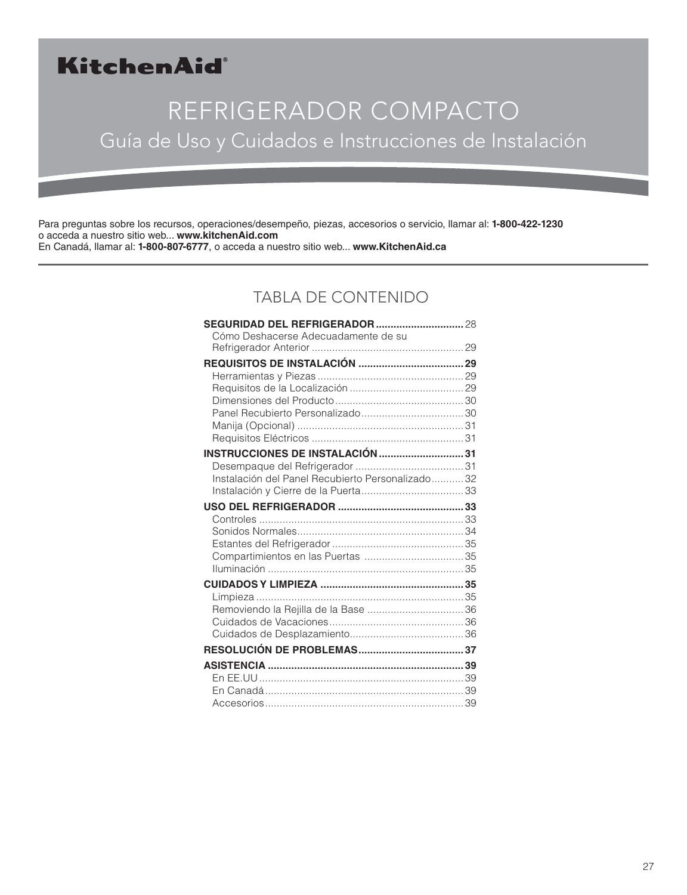## KitchenAid®

# REFRIGERADOR COMPACTO Guía de Uso y Cuidados e Instrucciones de Instalación

Para preguntas sobre los recursos, operaciones/desempeño, piezas, accesorios o servicio, llamar al: **1-800-422-1230** o acceda a nuestro sitio web... **www.kitchenAid.com** En Canadá, llamar al: **1-800-807-6777**, o acceda a nuestro sitio web... **www.KitchenAid.ca**

## TABLA DE CONTENIDO

| Cómo Deshacerse Adecuadamente de su              |  |
|--------------------------------------------------|--|
|                                                  |  |
|                                                  |  |
|                                                  |  |
|                                                  |  |
|                                                  |  |
|                                                  |  |
|                                                  |  |
|                                                  |  |
| <b>INSTRUCCIONES DE INSTALACIÓN 31</b>           |  |
| Instalación del Panel Recubierto Personalizado32 |  |
|                                                  |  |
|                                                  |  |
|                                                  |  |
|                                                  |  |
|                                                  |  |
|                                                  |  |
|                                                  |  |
|                                                  |  |
|                                                  |  |
|                                                  |  |
|                                                  |  |
|                                                  |  |
|                                                  |  |
|                                                  |  |
|                                                  |  |
|                                                  |  |
|                                                  |  |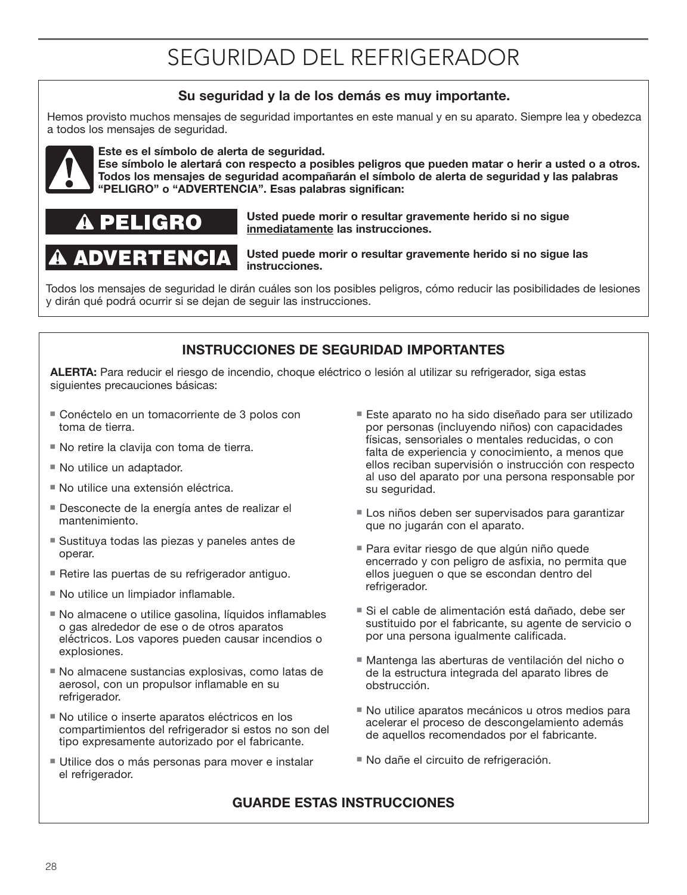# SEGURIDAD DEL REFRIGERADOR

### **Su seguridad y la de los demás es muy importante.**

Hemos provisto muchos mensajes de seguridad importantes en este manual y en su aparato. Siempre lea y obedezca a todos los mensajes de seguridad.



#### **Este es el símbolo de alerta de seguridad.**

**Ese símbolo le alertará con respecto a posibles peligros que pueden matar o herir a usted o a otros. Todos los mensajes de seguridad acompañarán el símbolo de alerta de seguridad y las palabras "PELIGRO" o "ADVERTENCIA". Esas palabras significan:**



**ADVERTENCIA** 

#### **Usted puede morir o resultar gravemente herido si no sigue inmediatamente las instrucciones.**

#### **Usted puede morir o resultar gravemente herido si no sigue las instrucciones.**

Todos los mensajes de seguridad le dirán cuáles son los posibles peligros, cómo reducir las posibilidades de lesiones y dirán qué podrá ocurrir si se dejan de seguir las instrucciones.

### **INSTRUCCIONES DE SEGURIDAD IMPORTANTES**

**ALERTA:** Para reducir el riesgo de incendio, choque eléctrico o lesión al utilizar su refrigerador, siga estas siguientes precauciones básicas:

- Conéctelo en un tomacorriente de 3 polos con toma de tierra.
- No retire la clavija con toma de tierra.
- No utilice un adaptador.
- No utilice una extensión eléctrica.
- Desconecte de la energía antes de realizar el mantenimiento.
- Sustituya todas las piezas y paneles antes de operar.
- Retire las puertas de su refrigerador antiguo.
- No utilice un limpiador inflamable.
- No almacene o utilice gasolina, líquidos inflamables o gas alrededor de ese o de otros aparatos eléctricos. Los vapores pueden causar incendios o explosiones.
- No almacene sustancias explosivas, como latas de aerosol, con un propulsor inflamable en su refrigerador.
- No utilice o inserte aparatos eléctricos en los compartimientos del refrigerador si estos no son del tipo expresamente autorizado por el fabricante.
- Utilice dos o más personas para mover e instalar el refrigerador.
- Este aparato no ha sido diseñado para ser utilizado por personas (incluyendo niños) con capacidades físicas, sensoriales o mentales reducidas, o con falta de experiencia y conocimiento, a menos que ellos reciban supervisión o instrucción con respecto al uso del aparato por una persona responsable por su seguridad.
- Los niños deben ser supervisados para garantizar que no jugarán con el aparato.
- Para evitar riesgo de que algún niño quede encerrado y con peligro de asfixia, no permita que ellos jueguen o que se escondan dentro del refrigerador.
- Si el cable de alimentación está dañado, debe ser sustituido por el fabricante, su agente de servicio o por una persona igualmente calificada.
- Mantenga las aberturas de ventilación del nicho o de la estructura integrada del aparato libres de obstrucción.
- No utilice aparatos mecánicos u otros medios para acelerar el proceso de descongelamiento además de aquellos recomendados por el fabricante.
- No dañe el circuito de refrigeración.

### **GUARDE ESTAS INSTRUCCIONES**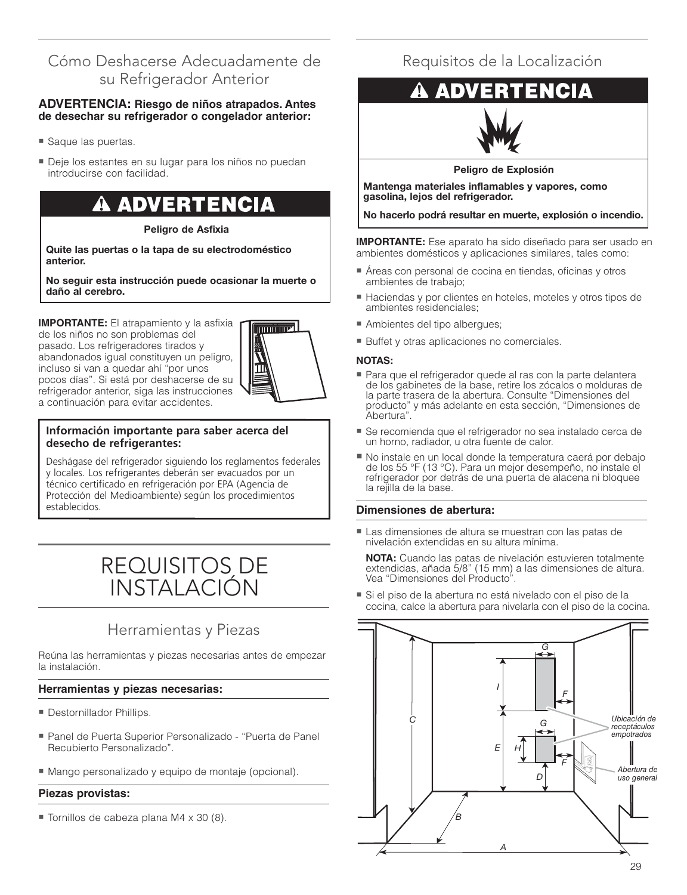## Cómo Deshacerse Adecuadamente de su Refrigerador Anterior

#### **ADVERTENCIA: Riesgo de niños atrapados. Antes de desechar su refrigerador o congelador anterior:**

- Saque las puertas.
- Deje los estantes en su lugar para los niños no puedan introducirse con facilidad.

## **ADVERTENCIA**

**Peligro de Asfixia**

**Quite las puertas o la tapa de su electrodoméstico anterior.**

**No seguir esta instrucción puede ocasionar la muerte o daño al cerebro.**

**IMPORTANTE:** El atrapamiento y la asfixia de los niños no son problemas del pasado. Los refrigeradores tirados y abandonados igual constituyen un peligro, incluso si van a quedar ahí "por unos pocos días". Si está por deshacerse de su refrigerador anterior, siga las instrucciones a continuación para evitar accidentes.



#### **Información importante para saber acerca del desecho de refrigerantes:**

Deshágase del refrigerador siguiendo los reglamentos federales y locales. Los refrigerantes deberán ser evacuados por un técnico certificado en refrigeración por EPA (Agencia de Protección del Medioambiente) según los procedimientos establecidos.

## REQUISITOS DE INSTALACIÓN

## Herramientas y Piezas

Reúna las herramientas y piezas necesarias antes de empezar la instalación.

#### **Herramientas y piezas necesarias:**

- **Destornillador Phillips.**
- Panel de Puerta Superior Personalizado "Puerta de Panel Recubierto Personalizado".
- Mango personalizado y equipo de montaje (opcional).

#### **Piezas provistas:**

■ Tornillos de cabeza plana M4 x 30 (8).

## Requisitos de la Localización

#### **ENCIA ADVER**



#### **Peligro de Explosión**

**Mantenga materiales inflamables y vapores, como gasolina, lejos del refrigerador.**

**No hacerlo podrá resultar en muerte, explosión o incendio.**

**IMPORTANTE:** Ese aparato ha sido diseñado para ser usado en ambientes domésticos y aplicaciones similares, tales como:

- Áreas con personal de cocina en tiendas, oficinas y otros ambientes de trabajo;
- Haciendas y por clientes en hoteles, moteles y otros tipos de ambientes residenciales;
- Ambientes del tipo albergues;
- Buffet y otras aplicaciones no comerciales.

#### **NOTAS:**

- Para que el refrigerador quede al ras con la parte delantera de los gabinetes de la base, retire los zócalos o molduras de la parte trasera de la abertura. Consulte "Dimensiones del producto" y más adelante en esta sección, "Dimensiones de Abertura".
- Se recomienda que el refrigerador no sea instalado cerca de un horno, radiador, u otra fuente de calor.
- No instale en un local donde la temperatura caerá por debajo de los 55 °F (13 °C). Para un mejor desempeño, no instale el refrigerador por detrás de una puerta de alacena ni bloquee la rejilla de la base.

#### **Dimensiones de abertura:**

- Las dimensiones de altura se muestran con las patas de nivelación extendidas en su altura mínima.

**NOTA:** Cuando las patas de nivelación estuvieren totalmente extendidas, añada 5/8" (15 mm) a las dimensiones de altura. Vea "Dimensiones del Producto".

■ Si el piso de la abertura no está nivelado con el piso de la cocina, calce la abertura para nivelarla con el piso de la cocina.

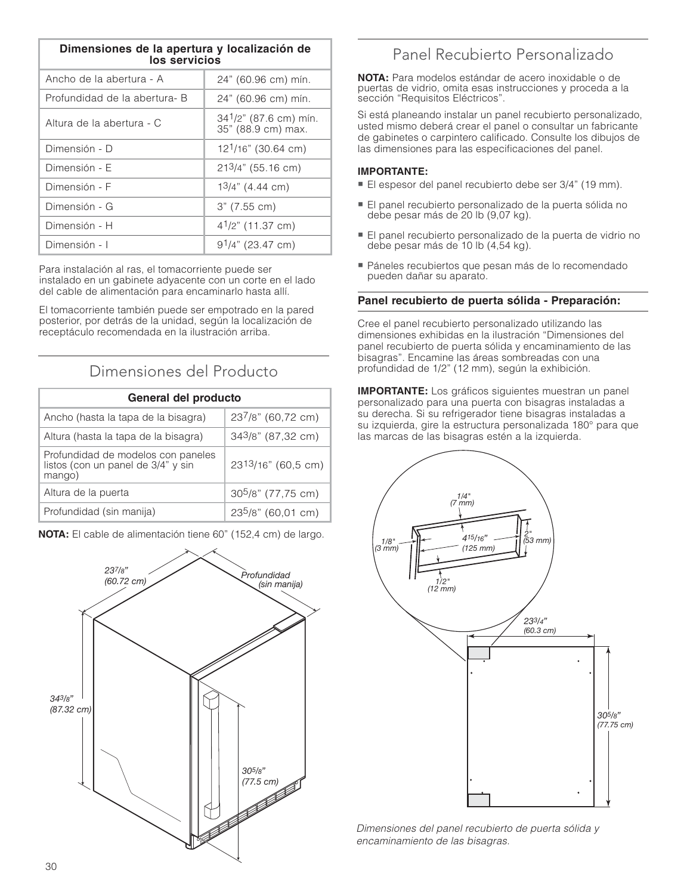| Dimensiones de la apertura y localización de<br>los servicios |                                             |  |
|---------------------------------------------------------------|---------------------------------------------|--|
| Ancho de la abertura - A                                      | 24" (60.96 cm) mín.                         |  |
| Profundidad de la abertura- B                                 | 24" (60.96 cm) mín.                         |  |
| Altura de la abertura - C                                     | 341/2" (87.6 cm) mín.<br>35" (88.9 cm) max. |  |
| Dimensión - D                                                 | $12^{1/16}$ " (30.64 cm)                    |  |
| Dimensión - E                                                 | $213/4$ " (55.16 cm)                        |  |
| Dimensión - F                                                 | $13/4$ " (4.44 cm)                          |  |
| Dimensión - G                                                 | 3" (7.55 cm)                                |  |
| Dimensión - H                                                 | $4^{1}/2$ " (11.37 cm)                      |  |
| Dimensión - I                                                 | $91/4$ " (23.47 cm)                         |  |

Para instalación al ras, el tomacorriente puede ser instalado en un gabinete adyacente con un corte en el lado del cable de alimentación para encaminarlo hasta allí.

El tomacorriente también puede ser empotrado en la pared posterior, por detrás de la unidad, según la localización de receptáculo recomendada en la ilustración arriba.

### Dimensiones del Producto

| General del producto                                                               |                                |
|------------------------------------------------------------------------------------|--------------------------------|
| Ancho (hasta la tapa de la bisagra)                                                | 237/8" (60,72 cm)              |
| Altura (hasta la tapa de la bisagra)                                               | 343/8" (87,32 cm)              |
| Profundidad de modelos con paneles<br>listos (con un panel de 3/4" y sin<br>mango) | 2313/16" (60,5 cm)             |
| Altura de la puerta                                                                | 30 <sup>5</sup> /8" (77,75 cm) |
| Profundidad (sin manija)                                                           | 235/8" (60,01 cm)              |

**NOTA:** El cable de alimentación tiene 60" (152,4 cm) de largo.



## Panel Recubierto Personalizado

**NOTA:** Para modelos estándar de acero inoxidable o de puertas de vidrio, omita esas instrucciones y proceda a la sección "Requisitos Eléctricos".

Si está planeando instalar un panel recubierto personalizado, usted mismo deberá crear el panel o consultar un fabricante de gabinetes o carpintero calificado. Consulte los dibujos de las dimensiones para las especificaciones del panel.

#### **IMPORTANTE:**

- **..... STERNITE:**<br>■ El espesor del panel recubierto debe ser 3/4" (19 mm).
- El panel recubierto personalizado de la puerta sólida no debe pesar más de 20 lb (9,07 kg).
- El panel recubierto personalizado de la puerta de vidrio no debe pesar más de 10 lb (4,54 kg).
- Páneles recubiertos que pesan más de lo recomendado pueden dañar su aparato.

#### **Panel recubierto de puerta sólida - Preparación:**

Cree el panel recubierto personalizado utilizando las dimensiones exhibidas en la ilustración "Dimensiones del panel recubierto de puerta sólida y encaminamiento de las bisagras". Encamine las áreas sombreadas con una profundidad de 1/2" (12 mm), según la exhibición.

**IMPORTANTE:** Los gráficos siguientes muestran un panel personalizado para una puerta con bisagras instaladas a su derecha. Si su refrigerador tiene bisagras instaladas a su izquierda, gire la estructura personalizada 180° para que las marcas de las bisagras estén a la izquierda.



Dimensiones del panel recubierto de puerta sólida y encaminamiento de las bisagras.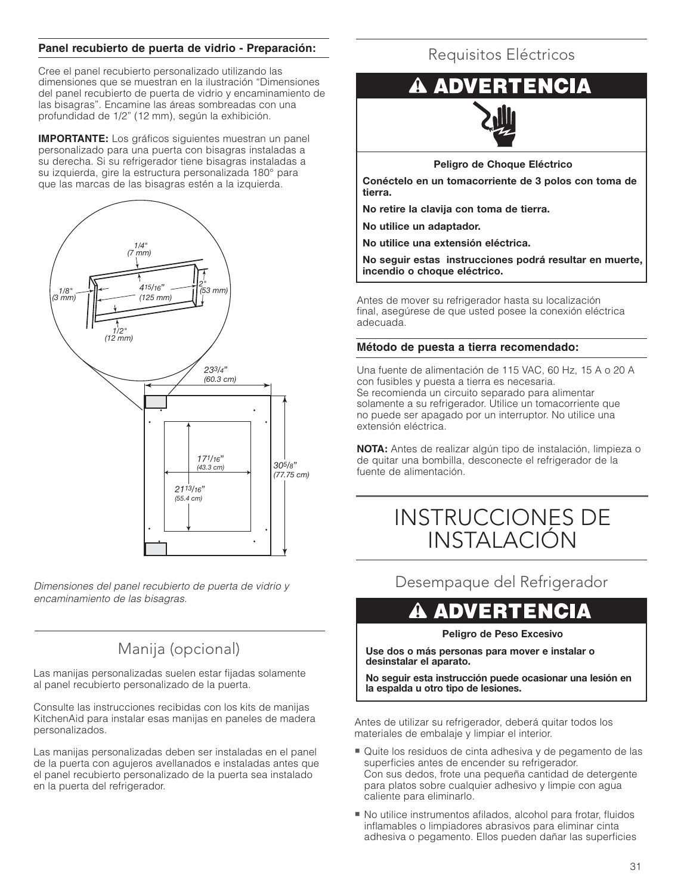#### **Panel recubierto de puerta de vidrio - Preparación:**

Cree el panel recubierto personalizado utilizando las dimensiones que se muestran en la ilustración "Dimensiones del panel recubierto de puerta de vidrio y encaminamiento de las bisagras". Encamine las áreas sombreadas con una profundidad de 1/2" (12 mm), según la exhibición.

**IMPORTANTE:** Los gráficos siguientes muestran un panel personalizado para una puerta con bisagras instaladas a su derecha. Si su refrigerador tiene bisagras instaladas a su izquierda, gire la estructura personalizada 180° para que las marcas de las bisagras estén a la izquierda.



Dimensiones del panel recubierto de puerta de vidrio y encaminamiento de las bisagras.

## Manija (opcional)

Las manijas personalizadas suelen estar fijadas solamente al panel recubierto personalizado de la puerta.

Consulte las instrucciones recibidas con los kits de manijas KitchenAid para instalar esas manijas en paneles de madera personalizados.

Las manijas personalizadas deben ser instaladas en el panel de la puerta con agujeros avellanados e instaladas antes que el panel recubierto personalizado de la puerta sea instalado en la puerta del refrigerador.

## Requisitos Eléctricos

#### ENCIA AD)



**Peligro de Choque Eléctrico**

**Conéctelo en un tomacorriente de 3 polos con toma de tierra.** 

**No retire la clavija con toma de tierra.**

**No utilice un adaptador.**

**No utilice una extensión eléctrica.**

**No seguir estas instrucciones podrá resultar en muerte, incendio o choque eléctrico.**

Antes de mover su refrigerador hasta su localización final, asegúrese de que usted posee la conexión eléctrica adecuada.

#### **Método de puesta a tierra recomendado:**

Una fuente de alimentación de 115 VAC, 60 Hz, 15 A o 20 A con fusibles y puesta a tierra es necesaria. Se recomienda un circuito separado para alimentar solamente a su refrigerador. Utilice un tomacorriente que no puede ser apagado por un interruptor. No utilice una extensión eléctrica.

**NOTA:** Antes de realizar algún tipo de instalación, limpieza o de quitar una bombilla, desconecte el refrigerador de la fuente de alimentación.

## INSTRUCCIONES DE INSTALACIÓN

Desempaque del Refrigerador

## **ADVERTENCIA**

#### **Peligro de Peso Excesivo**

**Use dos o más personas para mover e instalar o desinstalar el aparato.**

**No seguir esta instrucción puede ocasionar una lesión en la espalda u otro tipo de lesiones.**

Antes de utilizar su refrigerador, deberá quitar todos los materiales de embalaje y limpiar el interior.

- Quite los residuos de cinta adhesiva y de pegamento de las superficies antes de encender su refrigerador. Con sus dedos, frote una pequeña cantidad de detergente para platos sobre cualquier adhesivo y limpie con agua caliente para eliminarlo.
- No utilice instrumentos afilados, alcohol para frotar, fluidos inflamables o limpiadores abrasivos para eliminar cinta adhesiva o pegamento. Ellos pueden dañar las superficies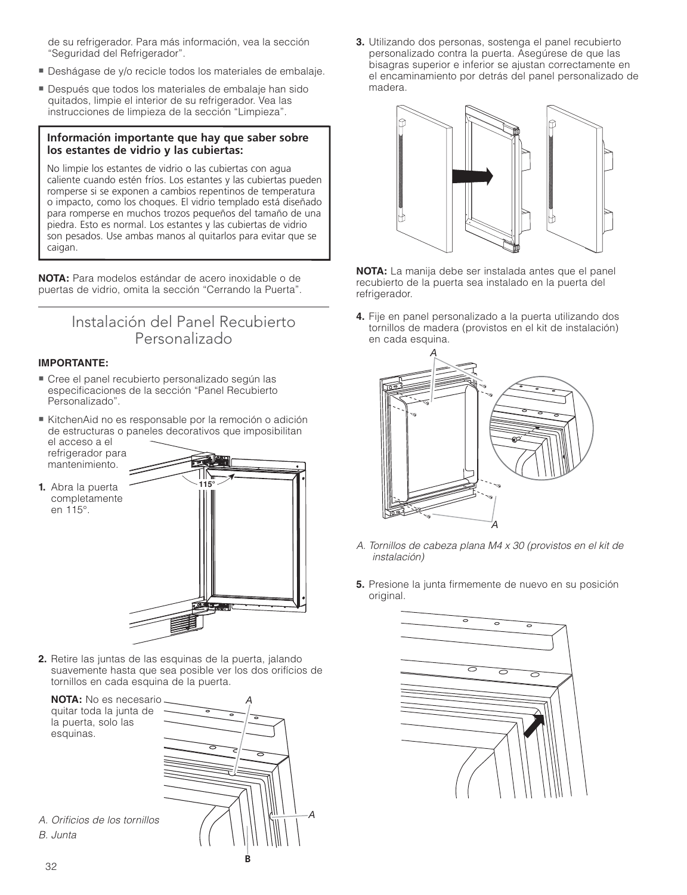de su refrigerador. Para más información, vea la sección "Seguridad del Refrigerador".

- Deshágase de y/o recicle todos los materiales de embalaje.
- Después que todos los materiales de embalaje han sido quitados, limpie el interior de su refrigerador. Vea las instrucciones de limpieza de la sección "Limpieza".

#### **Información importante que hay que saber sobre los estantes de vidrio y las cubiertas:**

No limpie los estantes de vidrio o las cubiertas con agua caliente cuando estén fríos. Los estantes y las cubiertas pueden romperse si se exponen a cambios repentinos de temperatura o impacto, como los choques. El vidrio templado está diseñado para romperse en muchos trozos pequeños del tamaño de una piedra. Esto es normal. Los estantes y las cubiertas de vidrio son pesados. Use ambas manos al quitarlos para evitar que se caigan.

**NOTA:** Para modelos estándar de acero inoxidable o de puertas de vidrio, omita la sección "Cerrando la Puerta".

### Instalación del Panel Recubierto Personalizado

#### **IMPORTANTE:**

- Cree el panel recubierto personalizado según las especificaciones de la sección "Panel Recubierto" Personalizado".
- KitchenAid no es responsable por la remoción o adición de estructuras o paneles decorativos que imposibilitan el acceso a el
- refrigerador para mantenimiento.

en 115°.



**2.** Retire las juntas de las esquinas de la puerta, jalando suavemente hasta que sea posible ver los dos orifícios de tornillos en cada esquina de la puerta.

 **NOTA:** No es necesario quitar toda la junta de la puerta, solo las esquinas.



A. Orificios de los tornillos B. Junta

**3.** Utilizando dos personas, sostenga el panel recubierto personalizado contra la puerta. Asegúrese de que las bisagras superior e inferior se ajustan correctamente en el encaminamiento por detrás del panel personalizado de madera.



**NOTA:** La manija debe ser instalada antes que el panel recubierto de la puerta sea instalado en la puerta del refrigerador.

**4.** Fije en panel personalizado a la puerta utilizando dos tornillos de madera (provistos en el kit de instalación) en cada esquina.



- A. Tornillos de cabeza plana M4 x 30 (provistos en el kit de instalación)
- **5.** Presione la junta firmemente de nuevo en su posición original.

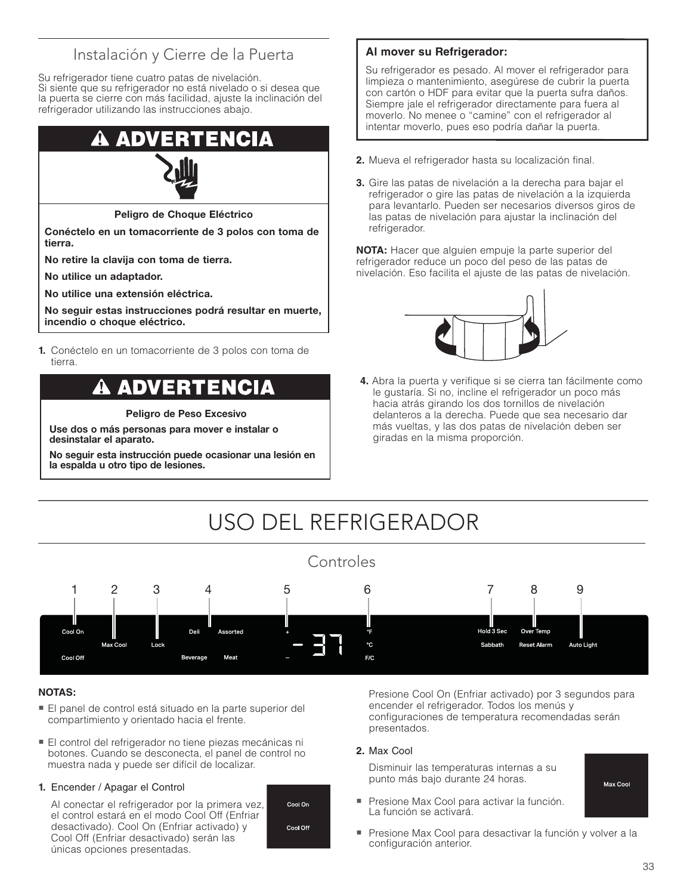## Instalación y Cierre de la Puerta

Su refrigerador tiene cuatro patas de nivelación. Si siente que su refrigerador no está nivelado o si desea que la puerta se cierre con más facilidad, ajuste la inclinación del refrigerador utilizando las instrucciones abajo.

## ADV



**Peligro de Choque Eléctrico**

**Conéctelo en un tomacorriente de 3 polos con toma de tierra.** 

**No retire la clavija con toma de tierra.**

**No utilice un adaptador.**

**No utilice una extensión eléctrica.**

**No seguir estas instrucciones podrá resultar en muerte, incendio o choque eléctrico.**

**1.** Conéctelo en un tomacorriente de 3 polos con toma de tierra.

## ADVERTENCIA

**Peligro de Peso Excesivo**

**Use dos o más personas para mover e instalar o desinstalar el aparato.**

**No seguir esta instrucción puede ocasionar una lesión en la espalda u otro tipo de lesiones.**

#### **Al mover su Refrigerador:**

Su refrigerador es pesado. Al mover el refrigerador para limpieza o mantenimiento, asegúrese de cubrir la puerta con cartón o HDF para evitar que la puerta sufra daños. Siempre jale el refrigerador directamente para fuera al moverlo. No menee o "camine" con el refrigerador al intentar moverlo, pues eso podría dañar la puerta.

- **2.** Mueva el refrigerador hasta su localización final.
- **3.** Gire las patas de nivelación a la derecha para bajar el refrigerador o gire las patas de nivelación a la izquierda para levantarlo. Pueden ser necesarios diversos giros de las patas de nivelación para ajustar la inclinación del refrigerador.

**NOTA:** Hacer que alguien empuje la parte superior del refrigerador reduce un poco del peso de las patas de nivelación. Eso facilita el ajuste de las patas de nivelación.



**4.** Abra la puerta y verifique si se cierra tan fácilmente como le gustaría. Si no, incline el refrigerador un poco más hacia atrás girando los dos tornillos de nivelación delanteros a la derecha. Puede que sea necesario dar más vueltas, y las dos patas de nivelación deben ser giradas en la misma proporción.

# USO DEL REFRIGERADOR



#### **NOTAS:**

- El panel de control está situado en la parte superior del compartimiento y orientado hacia el frente.
- El control del refrigerador no tiene piezas mecánicas ni botones. Cuando se desconecta, el panel de control no muestra nada y puede ser difícil de localizar.

#### **1.** Encender / Apagar el Control

 Al conectar el refrigerador por la primera vez, el control estará en el modo Cool Off (Enfriar desactivado). Cool On (Enfriar activado) y Cool Off (Enfriar desactivado) serán las únicas opciones presentadas.



 Presione Cool On (Enfriar activado) por 3 segundos para encender el refrigerador. Todos los menús y configuraciones de temperatura recomendadas serán presentados.

#### **2.** Max Cool

 Disminuir las temperaturas internas a su punto más bajo durante 24 horas.

- Presione Max Cool para activar la función. La función se activará.

Max Cool

- Presione Max Cool para desactivar la función y volver a la configuración anterior.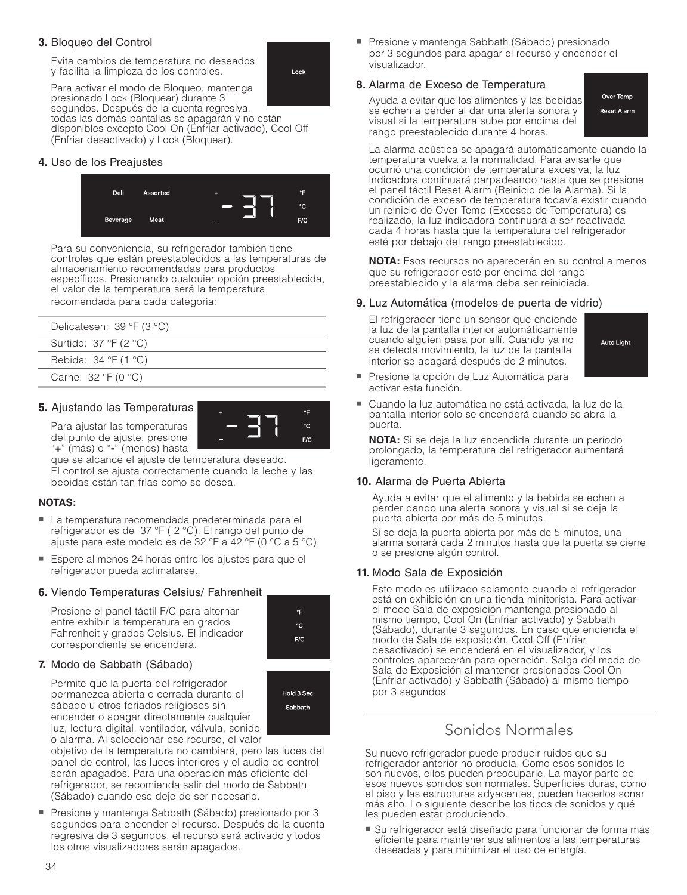#### **3.** Bloqueo del Control

 Evita cambios de temperatura no deseados y facilita la limpieza de los controles.



 Para activar el modo de Bloqueo, mantenga presionado Lock (Bloquear) durante 3 segundos. Después de la cuenta regresiva, todas las demás pantallas se apagarán y no están disponibles excepto Cool On (Enfriar activado), Cool Off (Enfriar desactivado) y Lock (Bloquear).

#### **4.** Uso de los Preajustes



Para su conveniencia, su refrigerador también tiene controles que están preestablecidos a las temperaturas de almacenamiento recomendadas para productos específicos. Presionando cualquier opción preestablecida, el valor de la temperatura será la temperatura recomendada para cada categoría:

| Delicatesen: $39 °F (3 °C)$                         |
|-----------------------------------------------------|
| Surtido: $37 \text{ }^{\circ}F$ (2 $^{\circ}C$ )    |
| Bebida: $34 \text{ }^{\circ}F(1 \text{ }^{\circ}C)$ |
| Carne: $32 °F (0 °C)$                               |
|                                                     |

#### **5.** Ajustando las Temperaturas

 Para ajustar las temperaturas del punto de ajuste, presione "**+**" (más) o "**-**" (menos) hasta

que se alcance el ajuste de temperatura deseado. El control se ajusta correctamente cuando la leche y las bebidas están tan frías como se desea.

#### **NOTAS:**

- La temperatura recomendada predeterminada para el refrigerador es de 37 °F ( 2 °C). El rango del punto de ajuste para este modelo es de 32 °F a 42 °F (0 °C a 5 °C).
- - Espere al menos 24 horas entre los ajustes para que el refrigerador pueda aclimatarse.

#### **6.** Viendo Temperaturas Celsius/ Fahrenheit

 Presione el panel táctil F/C para alternar entre exhibir la temperatura en grados Fahrenheit y grados Celsius. El indicador correspondiente se encenderá.

#### **7.** Modo de Sabbath (Sábado)

 Permite que la puerta del refrigerador permanezca abierta o cerrada durante el sábado u otros feriados religiosos sin encender o apagar directamente cualquier luz, lectura digital, ventilador, válvula, sonido o alarma. Al seleccionar ese recurso, el valor



۰F °C  $F/C$ 

۰p °C.  $F/C$ 

objetivo de la temperatura no cambiará, pero las luces del panel de control, las luces interiores y el audio de control serán apagados. Para una operación más eficiente del refrigerador, se recomienda salir del modo de Sabbath (Sábado) cuando ese deje de ser necesario.

- Presione y mantenga Sabbath (Sábado) presionado por 3 segundos para encender el recurso. Después de la cuenta regresiva de 3 segundos, el recurso será activado y todos los otros visualizadores serán apagados.

■ Presione y mantenga Sabbath (Sábado) presionado por 3 segundos para apagar el recurso y encender el visualizador.

#### **8.** Alarma de Exceso de Temperatura

 Ayuda a evitar que los alimentos y las bebidas se echen a perder al dar una alerta sonora y visual si la temperatura sube por encima del rango preestablecido durante 4 horas.

Over Temp **Reset Alarm** 

 La alarma acústica se apagará automáticamente cuando la temperatura vuelva a la normalidad. Para avisarle que ocurrió una condición de temperatura excesiva, la luz indicadora continuará parpadeando hasta que se presione el panel táctil Reset Alarm (Reinicio de la Alarma). Si la condición de exceso de temperatura todavía existir cuando un reinicio de Over Temp (Excesso de Temperatura) es realizado, la luz indicadora continuará a ser reactivada cada 4 horas hasta que la temperatura del refrigerador esté por debajo del rango preestablecido.

**NOTA:** Esos recursos no aparecerán en su control a menos que su refrigerador esté por encima del rango preestablecido y la alarma deba ser reiniciada.

#### **9.** Luz Automática (modelos de puerta de vidrio)

 El refrigerador tiene un sensor que enciende la luz de la pantalla interior automáticamente cuando alguien pasa por allí. Cuando ya no se detecta movimiento, la luz de la pantalla interior se apagará después de 2 minutos.



- Presione la opción de Luz Automática para activar esta función.
- - Cuando la luz automática no está activada, la luz de la pantalla interior solo se encenderá cuando se abra la puerta.

 **NOTA:** Si se deja la luz encendida durante un período prolongado, la temperatura del refrigerador aumentará ligeramente.

#### **10.** Alarma de Puerta Abierta

 Ayuda a evitar que el alimento y la bebida se echen a perder dando una alerta sonora y visual si se deja la puerta abierta por más de 5 minutos.

 Si se deja la puerta abierta por más de 5 minutos, una alarma sonará cada 2 minutos hasta que la puerta se cierre o se presione algún control.

#### **11.** Modo Sala de Exposición

 Este modo es utilizado solamente cuando el refrigerador está en exhibición en una tienda minitorista. Para activar el modo Sala de exposición mantenga presionado al mismo tiempo, Cool On (Enfriar activado) y Sabbath (Sábado), durante 3 segundos. En caso que encienda el modo de Sala de exposición, Cool Off (Enfriar desactivado) se encenderá en el visualizador, y los controles aparecerán para operación. Salga del modo de Sala de Exposición al mantener presionados Cool On (Enfriar activado) y Sabbath (Sábado) al mismo tiempo por 3 segundos

### Sonidos Normales

Su nuevo refrigerador puede producir ruidos que su refrigerador anterior no producía. Como esos sonidos le son nuevos, ellos pueden preocuparle. La mayor parte de esos nuevos sonidos son normales. Superficies duras, como el piso y las estructuras adyacentes, pueden hacerlos sonar más alto. Lo siguiente describe los tipos de sonidos y qué les pueden estar produciendo.

■ Su refrigerador está diseñado para funcionar de forma más eficiente para mantener sus alimentos a las temperaturas deseadas y para minimizar el uso de energía.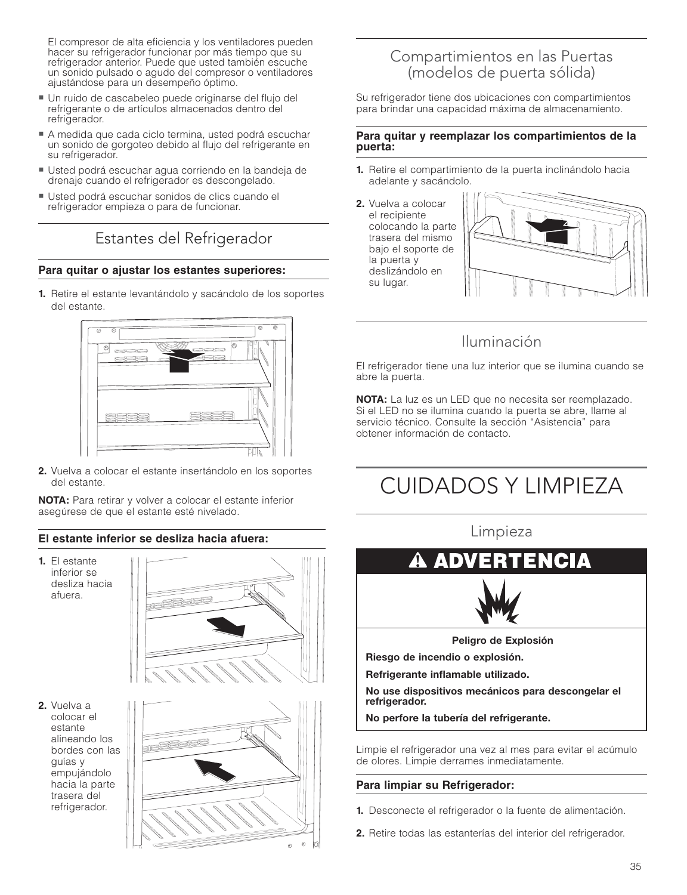El compresor de alta eficiencia y los ventiladores pueden hacer su refrigerador funcionar por más tiempo que su refrigerador anterior. Puede que usted también escuche un sonido pulsado o agudo del compresor o ventiladores ajustándose para un desempeño óptimo.

- Un ruido de cascabeleo puede originarse del flujo del refrigerante o de artículos almacenados dentro del refrigerador.
- A medida que cada ciclo termina, usted podrá escuchar un sonido de gorgoteo debido al flujo del refrigerante en su refrigerador.
- Usted podrá escuchar agua corriendo en la bandeja de drenaje cuando el refrigerador es descongelado.
- Usted podrá escuchar sonidos de clics cuando el refrigerador empieza o para de funcionar.

## Estantes del Refrigerador

#### **Para quitar o ajustar los estantes superiores:**

**1.** Retire el estante levantándolo y sacándolo de los soportes del estante.



**2.** Vuelva a colocar el estante insertándolo en los soportes del estante.

**NOTA:** Para retirar y volver a colocar el estante inferior asegúrese de que el estante esté nivelado.

#### **El estante inferior se desliza hacia afuera:**

**1.** El estante inferior se desliza hacia afuera.



**2.** Vuelva a colocar el estante alineando los bordes con las guías y empujándolo hacia la parte trasera del refrigerador.



### Compartimientos en las Puertas (modelos de puerta sólida)

Su refrigerador tiene dos ubicaciones con compartimientos para brindar una capacidad máxima de almacenamiento.

#### **Para quitar y reemplazar los compartimientos de la puerta:**

- **1.** Retire el compartimiento de la puerta inclinándolo hacia adelante y sacándolo.
- **2.** Vuelva a colocar el recipiente colocando la parte trasera del mismo bajo el soporte de la puerta y deslizándolo en su lugar.



## Iluminación

El refrigerador tiene una luz interior que se ilumina cuando se abre la puerta.

**NOTA:** La luz es un LED que no necesita ser reemplazado. Si el LED no se ilumina cuando la puerta se abre, llame al servicio técnico. Consulte la sección "Asistencia" para obtener información de contacto.

# CUIDADOS Y LIMPIEZA

Limpieza



**No use dispositivos mecánicos para descongelar el refrigerador.**

**No perfore la tubería del refrigerante.**

Limpie el refrigerador una vez al mes para evitar el acúmulo de olores. Limpie derrames inmediatamente.

#### **Para limpiar su Refrigerador:**

- **1.** Desconecte el refrigerador o la fuente de alimentación.
- **2.** Retire todas las estanterías del interior del refrigerador.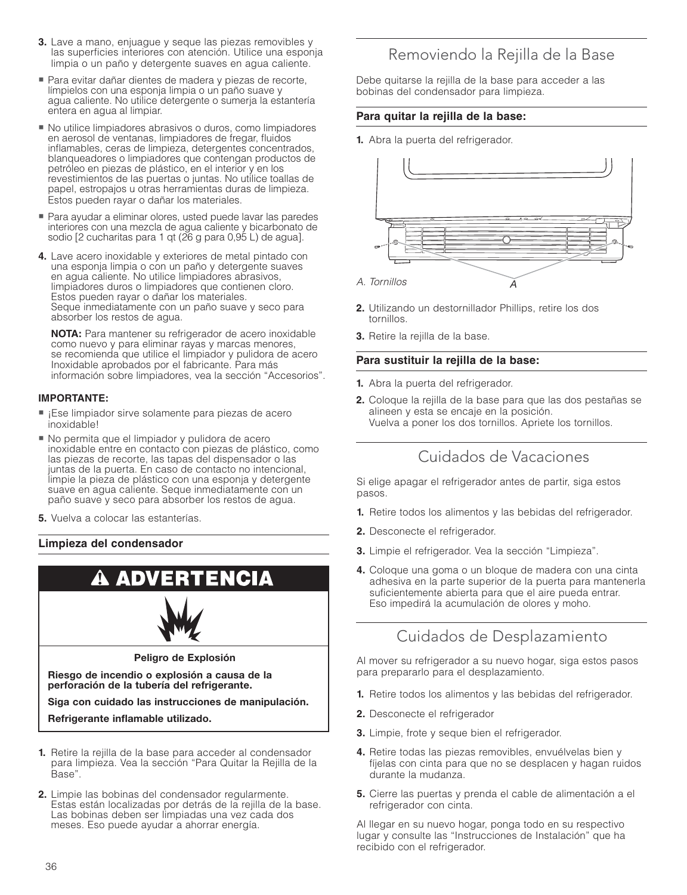- **3.** Lave a mano, enjuague y seque las piezas removibles y las superficies interiores con atención. Utilice una esponja limpia o un paño y detergente suaves en agua caliente.
- Para evitar dañar dientes de madera y piezas de recorte, límpielos con una esponja limpia o un paño suave y agua caliente. No utilice detergente o sumerja la estantería entera en agua al limpiar.
- No utilice limpiadores abrasivos o duros, como limpiadores en aerosol de ventanas, limpiadores de fregar, fluidos inflamables, ceras de limpieza, detergentes concentrados, blanqueadores o limpiadores que contengan productos de petróleo en piezas de plástico, en el interior y en los revestimientos de las puertas o juntas. No utilice toallas de papel, estropajos u otras herramientas duras de limpieza. Estos pueden rayar o dañar los materiales.
- Para ayudar a eliminar olores, usted puede lavar las paredes interiores con una mezcla de agua caliente y bicarbonato de sodio [2 cucharitas para 1 qt (26 g para 0,95 L) de agua].
- **4.** Lave acero inoxidable y exteriores de metal pintado con una esponja limpia o con un paño y detergente suaves en agua caliente. No utilice limpiadores abrasivos, limpiadores duros o limpiadores que contienen cloro. Estos pueden rayar o dañar los materiales. Seque inmediatamente con un paño suave y seco para absorber los restos de agua.

 **NOTA:** Para mantener su refrigerador de acero inoxidable como nuevo y para eliminar rayas y marcas menores, se recomienda que utilice el limpiador y pulidora de acero Inoxidable aprobados por el fabricante. Para más información sobre limpiadores, vea la sección "Accesorios".

#### **IMPORTANTE:**

- ¡Ese limpiador sirve solamente para piezas de acero inoxidable!
- No permita que el limpiador y pulidora de acero inoxidable entre en contacto con piezas de plástico, como las piezas de recorte, las tapas del dispensador o las juntas de la puerta. En caso de contacto no intencional, limpie la pieza de plástico con una esponja y detergente suave en agua caliente. Seque inmediatamente con un paño suave y seco para absorber los restos de agua.
- **5.** Vuelva a colocar las estanterías.

#### **Limpieza del condensador**



**2.** Limpie las bobinas del condensador regularmente. Estas están localizadas por detrás de la rejilla de la base. Las bobinas deben ser limpiadas una vez cada dos meses. Eso puede ayudar a ahorrar energía.

### Removiendo la Rejilla de la Base

Debe quitarse la rejilla de la base para acceder a las bobinas del condensador para limpieza.

#### **Para quitar la rejilla de la base:**

**1.** Abra la puerta del refrigerador.



- **2.** Utilizando un destornillador Phillips, retire los dos tornillos.
- **3.** Retire la rejilla de la base.

#### **Para sustituir la rejilla de la base:**

- **1.** Abra la puerta del refrigerador.
- **2.** Coloque la rejilla de la base para que las dos pestañas se alineen y esta se encaje en la posición. Vuelva a poner los dos tornillos. Apriete los tornillos.

### Cuidados de Vacaciones

Si elige apagar el refrigerador antes de partir, siga estos pasos.

- **1.** Retire todos los alimentos y las bebidas del refrigerador.
- **2.** Desconecte el refrigerador.
- **3.** Limpie el refrigerador. Vea la sección "Limpieza".
- **4.** Coloque una goma o un bloque de madera con una cinta adhesiva en la parte superior de la puerta para mantenerla suficientemente abierta para que el aire pueda entrar. Eso impedirá la acumulación de olores y moho.

## Cuidados de Desplazamiento

Al mover su refrigerador a su nuevo hogar, siga estos pasos para prepararlo para el desplazamiento.

- **1.** Retire todos los alimentos y las bebidas del refrigerador.
- **2.** Desconecte el refrigerador
- **3.** Limpie, frote y seque bien el refrigerador.
- **4.** Retire todas las piezas removibles, envuélvelas bien y fíjelas con cinta para que no se desplacen y hagan ruidos durante la mudanza.
- **5.** Cierre las puertas y prenda el cable de alimentación a el refrigerador con cinta.

Al llegar en su nuevo hogar, ponga todo en su respectivo lugar y consulte las "Instrucciones de Instalación" que ha recibido con el refrigerador.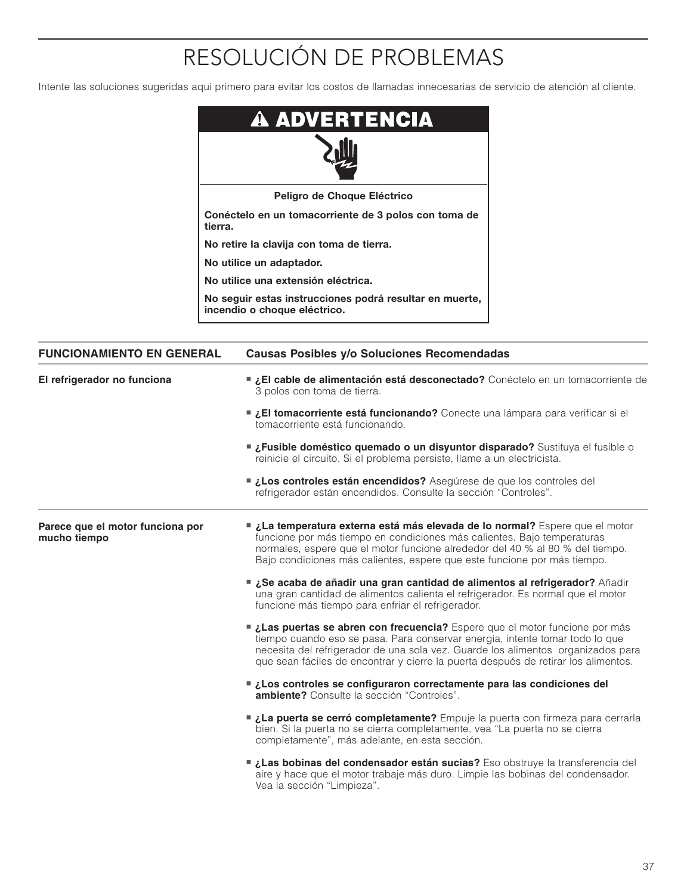# RESOLUCIÓN DE PROBLEMAS

Intente las soluciones sugeridas aquí primero para evitar los costos de llamadas innecesarias de servicio de atención al cliente.

| <b>A ADVERTENCIA</b>                                                                    |
|-----------------------------------------------------------------------------------------|
|                                                                                         |
| Peligro de Choque Eléctrico                                                             |
| Conéctelo en un tomacorriente de 3 polos con toma de<br>tierra.                         |
| No retire la clavija con toma de tierra.                                                |
| No utilice un adaptador.                                                                |
| No utilice una extensión eléctrica.                                                     |
| No seguir estas instrucciones podrá resultar en muerte,<br>incendio o choque eléctrico. |

| <b>FUNCIONAMIENTO EN GENERAL</b>                 | Causas Posibles y/o Soluciones Recomendadas                                                                                                                                                                                                                                                                                         |
|--------------------------------------------------|-------------------------------------------------------------------------------------------------------------------------------------------------------------------------------------------------------------------------------------------------------------------------------------------------------------------------------------|
| El refrigerador no funciona                      | El cable de alimentación está desconectado? Conéctelo en un tomacorriente de<br>3 polos con toma de tierra.                                                                                                                                                                                                                         |
|                                                  | <b>El tomacorriente está funcionando?</b> Conecte una lámpara para verificar si el<br>tomacorriente está funcionando.                                                                                                                                                                                                               |
|                                                  | <b>■ ¿Fusible doméstico quemado o un disyuntor disparado?</b> Sustituya el fusible o<br>reinicie el circuito. Si el problema persiste, llame a un electricista.                                                                                                                                                                     |
|                                                  | Los controles están encendidos? Asegúrese de que los controles del<br>refrigerador están encendidos. Consulte la sección "Controles".                                                                                                                                                                                               |
| Parece que el motor funciona por<br>mucho tiempo | La temperatura externa está más elevada de lo normal? Espere que el motor<br>funcione por más tiempo en condiciones más calientes. Bajo temperaturas<br>normales, espere que el motor funcione alrededor del 40 % al 80 % del tiempo.<br>Bajo condiciones más calientes, espere que este funcione por más tiempo.                   |
|                                                  | ■ ¿Se acaba de añadir una gran cantidad de alimentos al refrigerador? Añadir<br>una gran cantidad de alimentos calienta el refrigerador. Es normal que el motor<br>funcione más tiempo para enfriar el refrigerador.                                                                                                                |
|                                                  | Las puertas se abren con frecuencia? Espere que el motor funcione por más<br>tiempo cuando eso se pasa. Para conservar energía, intente tomar todo lo que<br>necesita del refrigerador de una sola vez. Guarde los alimentos organizados para<br>que sean fáciles de encontrar y cierre la puerta después de retirar los alimentos. |
|                                                  | Los controles se configuraron correctamente para las condiciones del<br>ambiente? Consulte la sección "Controles".                                                                                                                                                                                                                  |
|                                                  | La puerta se cerró completamente? Empuje la puerta con firmeza para cerrarla<br>bien. Si la puerta no se cierra completamente, vea "La puerta no se cierra<br>completamente", más adelante, en esta sección.                                                                                                                        |
|                                                  | Las bobinas del condensador están sucias? Eso obstruye la transferencia del<br>aire y hace que el motor trabaje más duro. Limpie las bobinas del condensador.<br>Vea la sección "Limpieza".                                                                                                                                         |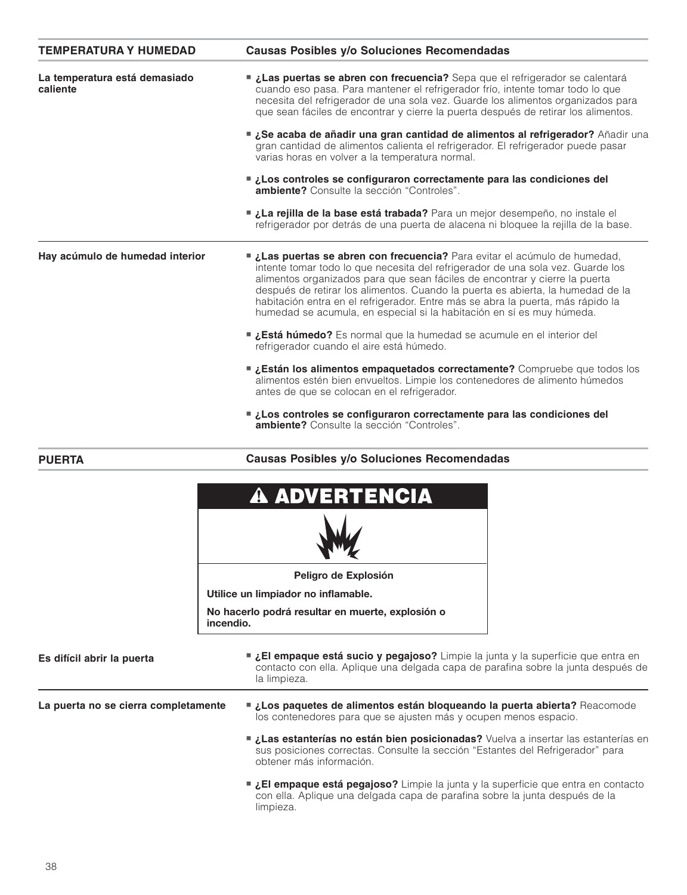| <b>TEMPERATURA Y HUMEDAD</b>              | <b>Causas Posibles y/o Soluciones Recomendadas</b>                                                                                                                                                                                                                                                                                                                                                                                                                                       |
|-------------------------------------------|------------------------------------------------------------------------------------------------------------------------------------------------------------------------------------------------------------------------------------------------------------------------------------------------------------------------------------------------------------------------------------------------------------------------------------------------------------------------------------------|
| La temperatura está demasiado<br>caliente | Las puertas se abren con frecuencia? Sepa que el refrigerador se calentará<br>cuando eso pasa. Para mantener el refrigerador frío, intente tomar todo lo que<br>necesita del refrigerador de una sola vez. Guarde los alimentos organizados para<br>que sean fáciles de encontrar y cierre la puerta después de retirar los alimentos.                                                                                                                                                   |
|                                           | ■ ¿Se acaba de añadir una gran cantidad de alimentos al refrigerador? Añadir una<br>gran cantidad de alimentos calienta el refrigerador. El refrigerador puede pasar<br>varias horas en volver a la temperatura normal.                                                                                                                                                                                                                                                                  |
|                                           | Los controles se configuraron correctamente para las condiciones del<br><b>ambiente?</b> Consulte la sección "Controles".                                                                                                                                                                                                                                                                                                                                                                |
|                                           | La rejilla de la base está trabada? Para un mejor desempeño, no instale el<br>refrigerador por detrás de una puerta de alacena ni bloquee la rejilla de la base.                                                                                                                                                                                                                                                                                                                         |
| Hay acúmulo de humedad interior           | Las puertas se abren con frecuencia? Para evitar el acúmulo de humedad,<br>intente tomar todo lo que necesita del refrigerador de una sola vez. Guarde los<br>alimentos organizados para que sean fáciles de encontrar y cierre la puerta<br>después de retirar los alimentos. Cuando la puerta es abierta, la humedad de la<br>habitación entra en el refrigerador. Entre más se abra la puerta, más rápido la<br>humedad se acumula, en especial si la habitación en sí es muy húmeda. |
|                                           | ■ ¿Está húmedo? Es normal que la humedad se acumule en el interior del<br>refrigerador cuando el aire está húmedo.                                                                                                                                                                                                                                                                                                                                                                       |
|                                           | <b>■ ¿Están los alimentos empaquetados correctamente?</b> Compruebe que todos los<br>alimentos estén bien envueltos. Limpie los contenedores de alimento húmedos<br>antes de que se colocan en el refrigerador.                                                                                                                                                                                                                                                                          |
|                                           | Los controles se configuraron correctamente para las condiciones del<br>ambiente? Consulte la sección "Controles".                                                                                                                                                                                                                                                                                                                                                                       |

#### **Causas Posibles y/o Soluciones Recomendadas**



**PUERTA**